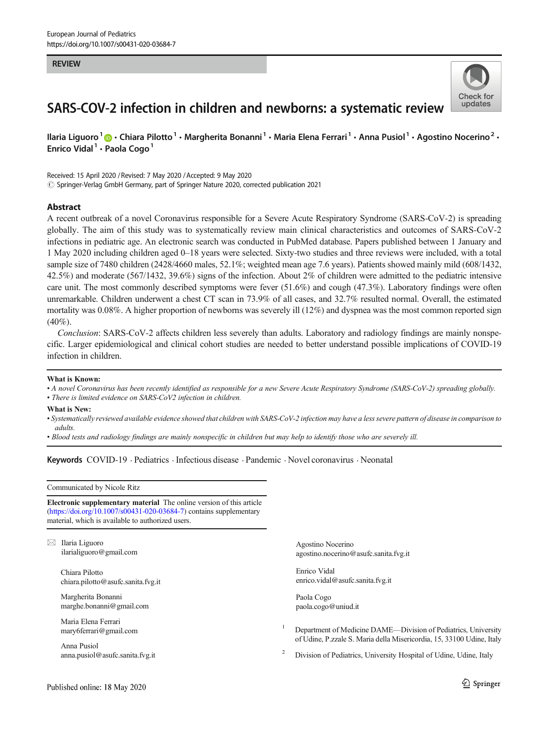#### **REVIEW**



# SARS-COV-2 infection in children and newborns: a systematic review

Ilaria Liguoro<sup>1</sup>  $\cdot$  Chiara Pilotto<sup>1</sup>  $\cdot$  Margherita Bonanni<sup>1</sup>  $\cdot$  Maria Elena Ferrari<sup>1</sup>  $\cdot$  Anna Pusiol<sup>1</sup>  $\cdot$  Agostino Nocerino<sup>2</sup>  $\cdot$ Enrico Vidal<sup>1</sup> · Paola Cogo<sup>1</sup>

Received: 15 April 2020 / Revised: 7 May 2020 /Accepted: 9 May 2020  $\copyright$  Springer-Verlag GmbH Germany, part of Springer Nature 2020, corrected publication 2021

#### Abstract

A recent outbreak of a novel Coronavirus responsible for a Severe Acute Respiratory Syndrome (SARS-CoV-2) is spreading globally. The aim of this study was to systematically review main clinical characteristics and outcomes of SARS-CoV-2 infections in pediatric age. An electronic search was conducted in PubMed database. Papers published between 1 January and 1 May 2020 including children aged 0–18 years were selected. Sixty-two studies and three reviews were included, with a total sample size of 7480 children (2428/4660 males, 52.1%; weighted mean age 7.6 years). Patients showed mainly mild (608/1432, 42.5%) and moderate (567/1432, 39.6%) signs of the infection. About 2% of children were admitted to the pediatric intensive care unit. The most commonly described symptoms were fever (51.6%) and cough (47.3%). Laboratory findings were often unremarkable. Children underwent a chest CT scan in 73.9% of all cases, and 32.7% resulted normal. Overall, the estimated mortality was 0.08%. A higher proportion of newborns was severely ill (12%) and dyspnea was the most common reported sign (40%).

Conclusion: SARS-CoV-2 affects children less severely than adults. Laboratory and radiology findings are mainly nonspecific. Larger epidemiological and clinical cohort studies are needed to better understand possible implications of COVID-19 infection in children.

#### What is Known:

• A novel Coronavirus has been recently identified as responsible for a new Severe Acute Respiratory Syndrome (SARS-CoV-2) spreading globally.

• There is limited evidence on SARS-CoV2 infection in children.

#### What is New:

- Systematically reviewed available evidence showed that children with SARS-CoV-2 infection may have a less severe pattern of disease in comparison to adults.
- Blood tests and radiology findings are mainly nonspecific in children but may help to identify those who are severely ill.

Keywords COVID-19 · Pediatrics · Infectious disease · Pandemic · Novel coronavirus · Neonatal

Communicated by Nicole Ritz

Electronic supplementary material The online version of this article ([https://doi.org/10.1007/s00431-020-03684-7\)](https://doi.org/10.1007/s00431-020-03684-7) contains supplementary material, which is available to authorized users.

 $\boxtimes$  Ilaria Liguoro [ilarialiguoro@gmail.com](mailto:ilarialiguoro@gmail.com)

> Chiara Pilotto chiara.pilotto@asufc.sanita.fvg.it

Margherita Bonanni marghe.bonanni@gmail.com

Maria Elena Ferrari mary6ferrari@gmail.com

Anna Pusiol anna.pusiol@asufc.sanita.fvg.it Agostino Nocerino agostino.nocerino@asufc.sanita.fvg.it

Enrico Vidal enrico.vidal@asufc.sanita.fvg.it

Paola Cogo paola.cogo@uniud.it

<sup>1</sup> Department of Medicine DAME—Division of Pediatrics, University of Udine, P.zzale S. Maria della Misericordia, 15, 33100 Udine, Italy

<sup>2</sup> Division of Pediatrics, University Hospital of Udine, Udine, Italy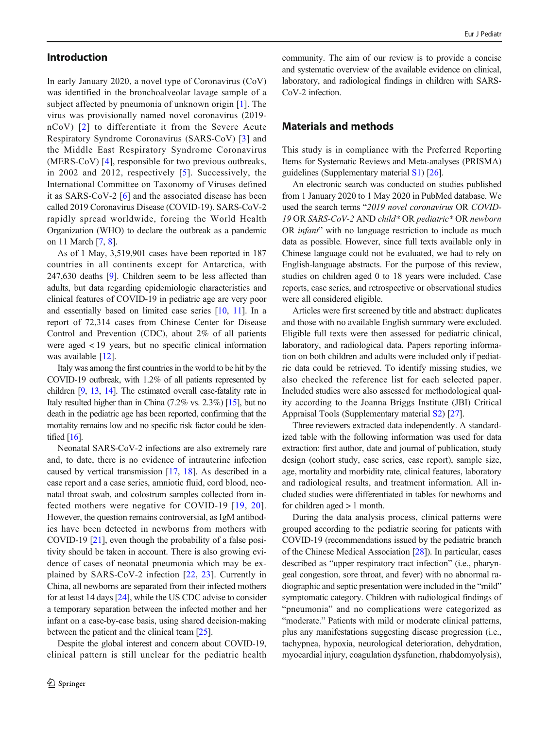## Introduction

In early January 2020, a novel type of Coronavirus (CoV) was identified in the bronchoalveolar lavage sample of a subject affected by pneumonia of unknown origin [[1\]](#page-13-0). The virus was provisionally named novel coronavirus (2019 nCoV) [[2](#page-13-0)] to differentiate it from the Severe Acute Respiratory Syndrome Coronavirus (SARS-CoV) [\[3\]](#page-13-0) and the Middle East Respiratory Syndrome Coronavirus (MERS-CoV) [[4\]](#page-13-0), responsible for two previous outbreaks, in 2002 and 2012, respectively [[5](#page-13-0)]. Successively, the International Committee on Taxonomy of Viruses defined it as SARS-CoV-2 [\[6](#page-13-0)] and the associated disease has been called 2019 Coronavirus Disease (COVID-19). SARS-CoV-2 rapidly spread worldwide, forcing the World Health Organization (WHO) to declare the outbreak as a pandemic on 11 March [\[7,](#page-13-0) [8\]](#page-13-0).

As of 1 May, 3,519,901 cases have been reported in 187 countries in all continents except for Antarctica, with 247,630 deaths [[9](#page-13-0)]. Children seem to be less affected than adults, but data regarding epidemiologic characteristics and clinical features of COVID-19 in pediatric age are very poor and essentially based on limited case series [\[10](#page-13-0), [11\]](#page-13-0). In a report of 72,314 cases from Chinese Center for Disease Control and Prevention (CDC), about 2% of all patients were aged < 19 years, but no specific clinical information was available [[12\]](#page-13-0).

Italy was among the first countries in the world to be hit by the COVID-19 outbreak, with 1.2% of all patients represented by children [[9](#page-13-0), [13](#page-13-0), [14\]](#page-13-0). The estimated overall case-fatality rate in Italy resulted higher than in China (7.2% vs. 2.3%) [[15](#page-13-0)], but no death in the pediatric age has been reported, confirming that the mortality remains low and no specific risk factor could be identified [[16\]](#page-13-0).

Neonatal SARS-CoV-2 infections are also extremely rare and, to date, there is no evidence of intrauterine infection caused by vertical transmission [\[17,](#page-13-0) [18\]](#page-14-0). As described in a case report and a case series, amniotic fluid, cord blood, neonatal throat swab, and colostrum samples collected from infected mothers were negative for COVID-19 [[19,](#page-14-0) [20](#page-14-0)]. However, the question remains controversial, as IgM antibodies have been detected in newborns from mothers with COVID-19 [\[21\]](#page-14-0), even though the probability of a false positivity should be taken in account. There is also growing evidence of cases of neonatal pneumonia which may be explained by SARS-CoV-2 infection [[22](#page-14-0), [23\]](#page-14-0). Currently in China, all newborns are separated from their infected mothers for at least 14 days [[24\]](#page-14-0), while the US CDC advise to consider a temporary separation between the infected mother and her infant on a case-by-case basis, using shared decision-making between the patient and the clinical team [[25\]](#page-14-0).

Despite the global interest and concern about COVID-19, clinical pattern is still unclear for the pediatric health community. The aim of our review is to provide a concise and systematic overview of the available evidence on clinical, laboratory, and radiological findings in children with SARS-CoV-2 infection.

## Materials and methods

This study is in compliance with the Preferred Reporting Items for Systematic Reviews and Meta-analyses (PRISMA) guidelines (Supplementary material S1) [\[26\]](#page-14-0).

An electronic search was conducted on studies published from 1 January 2020 to 1 May 2020 in PubMed database. We used the search terms "2019 novel coronavirus OR COVID-19 OR SARS-CoV-2 AND child\* OR pediatric\* OR newborn OR *infant*" with no language restriction to include as much data as possible. However, since full texts available only in Chinese language could not be evaluated, we had to rely on English-language abstracts. For the purpose of this review, studies on children aged 0 to 18 years were included. Case reports, case series, and retrospective or observational studies were all considered eligible.

Articles were first screened by title and abstract: duplicates and those with no available English summary were excluded. Eligible full texts were then assessed for pediatric clinical, laboratory, and radiological data. Papers reporting information on both children and adults were included only if pediatric data could be retrieved. To identify missing studies, we also checked the reference list for each selected paper. Included studies were also assessed for methodological quality according to the Joanna Briggs Institute (JBI) Critical Appraisal Tools (Supplementary material S2) [[27\]](#page-14-0).

Three reviewers extracted data independently. A standardized table with the following information was used for data extraction: first author, date and journal of publication, study design (cohort study, case series, case report), sample size, age, mortality and morbidity rate, clinical features, laboratory and radiological results, and treatment information. All included studies were differentiated in tables for newborns and for children aged > 1 month.

During the data analysis process, clinical patterns were grouped according to the pediatric scoring for patients with COVID-19 (recommendations issued by the pediatric branch of the Chinese Medical Association [[28](#page-14-0)]). In particular, cases described as "upper respiratory tract infection" (i.e., pharyngeal congestion, sore throat, and fever) with no abnormal radiographic and septic presentation were included in the "mild" symptomatic category. Children with radiological findings of "pneumonia" and no complications were categorized as "moderate." Patients with mild or moderate clinical patterns, plus any manifestations suggesting disease progression (i.e., tachypnea, hypoxia, neurological deterioration, dehydration, myocardial injury, coagulation dysfunction, rhabdomyolysis),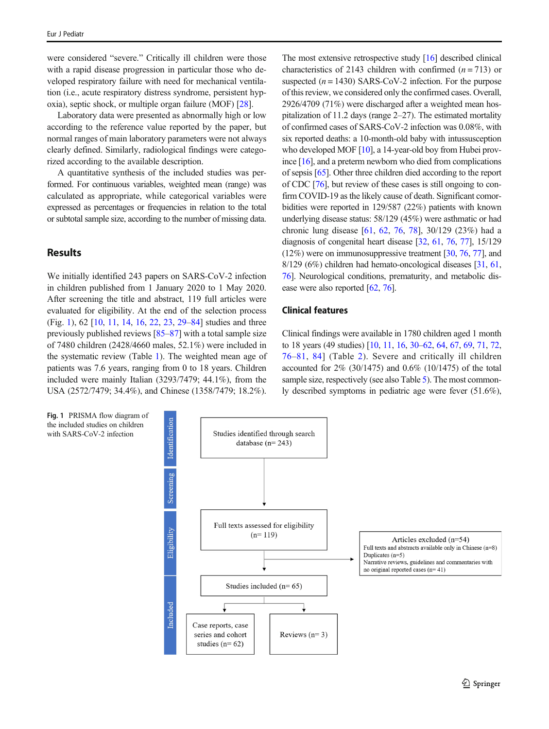were considered "severe." Critically ill children were those with a rapid disease progression in particular those who developed respiratory failure with need for mechanical ventilation (i.e., acute respiratory distress syndrome, persistent hypoxia), septic shock, or multiple organ failure (MOF) [[28\]](#page-14-0).

Laboratory data were presented as abnormally high or low according to the reference value reported by the paper, but normal ranges of main laboratory parameters were not always clearly defined. Similarly, radiological findings were categorized according to the available description.

A quantitative synthesis of the included studies was performed. For continuous variables, weighted mean (range) was calculated as appropriate, while categorical variables were expressed as percentages or frequencies in relation to the total or subtotal sample size, according to the number of missing data.

## Results

We initially identified 243 papers on SARS-CoV-2 infection in children published from 1 January 2020 to 1 May 2020. After screening the title and abstract, 119 full articles were evaluated for eligibility. At the end of the selection process (Fig. 1), 62 [[10](#page-13-0), [11,](#page-13-0) [14,](#page-13-0) [16,](#page-13-0) [22](#page-14-0), [23](#page-14-0), [29](#page-14-0)–[84](#page-16-0)] studies and three previously published reviews [\[85](#page-16-0)–[87\]](#page-16-0) with a total sample size of 7480 children (2428/4660 males, 52.1%) were included in the systematic review (Table [1](#page-3-0)). The weighted mean age of patients was 7.6 years, ranging from 0 to 18 years. Children included were mainly Italian (3293/7479; 44.1%), from the USA (2572/7479; 34.4%), and Chinese (1358/7479; 18.2%).

Fig. 1 PRISMA flow diagram of the included studies on children with SARS-CoV-2 infection



## Clinical features

Clinical findings were available in 1780 children aged 1 month to 18 years (49 studies) [\[10,](#page-13-0) [11](#page-13-0), [16,](#page-13-0) [30](#page-14-0)–[62,](#page-15-0) [64](#page-15-0), [67,](#page-15-0) [69,](#page-15-0) [71](#page-15-0), [72,](#page-15-0) [76](#page-15-0)–[81](#page-16-0), [84\]](#page-16-0) (Table [2\)](#page-5-0). Severe and critically ill children accounted for 2% (30/1475) and 0.6% (10/1475) of the total sample size, respectively (see also Table [5](#page-11-0)). The most commonly described symptoms in pediatric age were fever (51.6%),

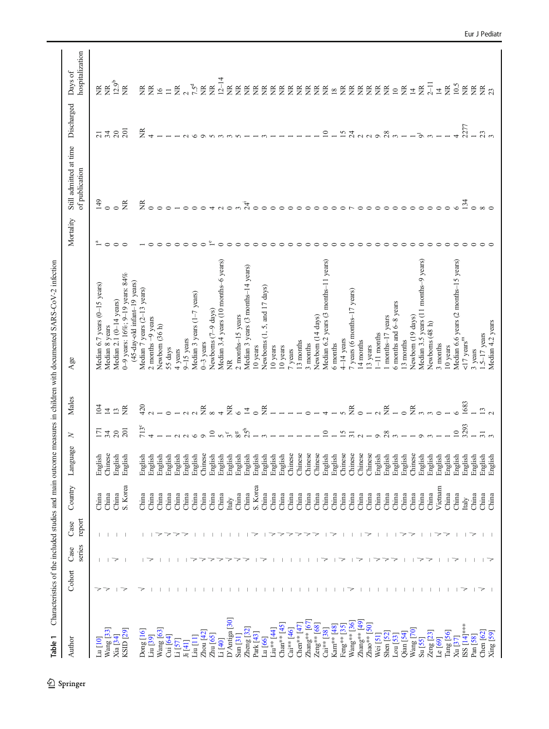es in children with documented  $SARS-CoV-2$  infection Table 1 Characteristics of the included studies and main outcome measures in children with documented SARS-CoV-2 infection ł **Table 1** Characteristics of the included studies and main outco-

<span id="page-3-0"></span>

| l alue I                                                                                    | C TRIBUTE SALES OF THE HIGHES SURFER SHARING THE UNITS |                |                |          |                                          |                                           |                       | The Hilesas in children with documented SAKS-COV-2 intection   |              |                                          |                     |                                                                                     |
|---------------------------------------------------------------------------------------------|--------------------------------------------------------|----------------|----------------|----------|------------------------------------------|-------------------------------------------|-----------------------|----------------------------------------------------------------|--------------|------------------------------------------|---------------------|-------------------------------------------------------------------------------------|
| Author                                                                                      | Cohort                                                 | series<br>Case | report<br>Case | Country  | Language                                 | $\geq$                                    | Males                 | $\mathsf{Age}$                                                 | Mortality    | Still admitted at time<br>of publication | Discharged          | hospitalization<br>Days of                                                          |
| Lu [10]                                                                                     |                                                        |                |                | China    | English<br>Chinese                       | $\overline{171}$                          | $\Xi \pm \Omega$      | Median 6.7 years (0-15 years)                                  | $\mathbf{u}$ | $\frac{49}{5}$                           |                     | <b>NE</b>                                                                           |
| $Wang$ [33]                                                                                 |                                                        |                |                | China    |                                          |                                           |                       | Median 8 years                                                 | $\circ$      | $\circ$                                  | 738                 |                                                                                     |
| Xia <sup>[34]</sup>                                                                         |                                                        |                |                | China    | English<br>English                       | $\frac{1}{2}$ $\frac{1}{2}$ $\frac{1}{2}$ |                       | Median 2.1 (0-14 years)                                        | $\circ$      |                                          |                     | $12.9^b$                                                                            |
| <b>KSID</b> [29]                                                                            |                                                        |                |                | S. Korea |                                          |                                           |                       | 0-9 years: 16%; 9-19 years: 84%                                |              | g                                        | 201                 | $\widetilde{\Xi}$                                                                   |
|                                                                                             |                                                        |                |                |          |                                          |                                           |                       | (45-day-old infant-19 years)                                   |              |                                          |                     |                                                                                     |
| Dong [16]                                                                                   |                                                        |                |                | China    | English<br>English                       | $713^c$                                   | 420                   | Median 7 years $(2-13$ years)                                  |              | $\widetilde{\Xi}$ o                      | $\widetilde{\Xi}$ + | 受<br>受                                                                              |
| Liu <sup>[39]</sup>                                                                         |                                                        |                |                | China    |                                          | $\overline{a}$                            |                       | $2$ months $-9$ years                                          |              |                                          |                     |                                                                                     |
| Wang [63]                                                                                   |                                                        |                |                | China    | English                                  |                                           |                       | Newborn (36 h)                                                 |              |                                          |                     | $\overline{16}$                                                                     |
| Cui [64]                                                                                    |                                                        |                |                | China    | English                                  |                                           |                       | 55 days                                                        |              |                                          |                     | $\equiv$                                                                            |
| Li [57]                                                                                     |                                                        |                |                | China    | English                                  | $\sim$ $\sim$                             |                       | 4 years                                                        |              |                                          |                     | $\frac{R}{2}$                                                                       |
| Ji [41]                                                                                     |                                                        |                |                | China    | English                                  |                                           |                       | $9-15$ years                                                   |              | $\circ$                                  |                     |                                                                                     |
| $Lin$ $[11]$                                                                                |                                                        |                |                | China    | English                                  | $\circ$                                   |                       | Median 3 years (1-7 years)                                     |              |                                          |                     | 7.5 <sup>d</sup>                                                                    |
| Zhou $[42]$                                                                                 |                                                        |                |                | China    | Chinese                                  | $\circ$                                   | $\widetilde{\Xi}$     | 0-3 years                                                      |              |                                          |                     | $\widetilde{\Xi}$                                                                   |
| Zhu [65]                                                                                    |                                                        |                |                | China    | English                                  |                                           |                       | Newborns (7-9 days)                                            |              |                                          |                     | $\widetilde{\Xi}$                                                                   |
| Li [40]                                                                                     |                                                        |                |                | China    |                                          | $5\%$                                     |                       | Median 3.4 years (10 months-6 years)                           |              |                                          |                     | $12 - 14$                                                                           |
| D'Antiga <sup>[30]</sup>                                                                    |                                                        |                |                | Italy    | English<br>English<br>English<br>English |                                           | Ĕ                     | $\widetilde{\Xi}$                                              |              | $\circ$                                  |                     | $\widetilde{\Xi}$                                                                   |
| Sum[31]                                                                                     |                                                        |                |                | China    |                                          | $8\!\!\!^\mathrm{o}$                      |                       | $2$ months $-15$ years                                         |              |                                          | $\sim$              | $\widetilde{\Xi}$                                                                   |
| Zheng <sup>[32]</sup>                                                                       |                                                        |                |                | China    |                                          | $25^h$                                    | $\overline{14}$       | Median 3 years (3 months-14 years)                             |              | 24                                       |                     |                                                                                     |
| Park [43]                                                                                   |                                                        |                |                | S. Korea | English                                  |                                           |                       | 10 years                                                       |              | $\circ$                                  |                     |                                                                                     |
| $\begin{array}{l} \text{Lu}\left[ 66\right] \\ \text{Lu}^{***}\left[ 44\right] \end{array}$ |                                                        |                |                | China    | English<br>English                       | $\sim$                                    | $\circ \ \breve{\Xi}$ | Newborns (1, 5, and 17 days)                                   |              | $\circ$                                  | $ -$                | EEEEEEEE                                                                            |
|                                                                                             |                                                        |                |                | China    |                                          |                                           |                       | 10 years                                                       |              | $\circ$                                  |                     |                                                                                     |
| $Chan***$ [45]                                                                              |                                                        |                |                | China    | English                                  |                                           |                       | $10$ years                                                     |              | $\circ$                                  |                     |                                                                                     |
| Cai** [46]                                                                                  |                                                        |                |                | China    | Chinese                                  |                                           |                       | 7 years                                                        |              |                                          |                     |                                                                                     |
| $Chen** [47]$                                                                               |                                                        |                |                | China    | Chinese                                  |                                           |                       | 13 months                                                      |              |                                          |                     |                                                                                     |
| Zhang** $[67]$                                                                              |                                                        |                | 7              | China    | Chinese                                  |                                           |                       | 3 months                                                       |              |                                          |                     |                                                                                     |
| Zeng** [68]                                                                                 |                                                        |                | マ              | China    | Chinese                                  |                                           |                       | Newborn (14 days)                                              |              |                                          |                     |                                                                                     |
| Cai** [38]                                                                                  |                                                        |                |                | China    | English<br>English<br>Chinese            | $\supseteq$                               |                       | Median 6.2 years (3 months-11 years)                           |              |                                          | $\frac{1}{1}$       | <b>登登空受受受受受</b>                                                                     |
| Kam** [48]                                                                                  |                                                        |                | 7              | China    |                                          |                                           |                       | 6 months                                                       |              |                                          |                     |                                                                                     |
| Feng** [35]                                                                                 |                                                        |                |                | China    |                                          | 15                                        |                       | 4-14 years                                                     |              |                                          | 15                  |                                                                                     |
| Wang** [36]                                                                                 |                                                        |                |                | China    | Chinese                                  | $\overline{31}$                           | Ĕ                     | 7 years (6 months-17 years)                                    |              |                                          | 3.000880            |                                                                                     |
| Zhang** $[49]$                                                                              |                                                        |                |                | China    | Chinese                                  |                                           | $\circ$               | 14 months                                                      |              |                                          |                     |                                                                                     |
| $Z$ hao** [50]                                                                              |                                                        |                | 7              | China    | Chinese                                  |                                           |                       | 13 years                                                       |              |                                          |                     |                                                                                     |
| Wei $[51]$                                                                                  |                                                        |                |                | China    | English                                  | $\circ$                                   | $\sim \tilde{E}$      | $1 - 11$ months                                                |              |                                          |                     |                                                                                     |
| Shen [52]                                                                                   |                                                        |                |                | China    | English                                  |                                           |                       | 1 months-17 years                                              |              |                                          |                     |                                                                                     |
| $L_{\text{OU}}$ [53]                                                                        |                                                        |                |                | China    | English                                  |                                           |                       | 6 months and 6-8 years                                         |              |                                          |                     |                                                                                     |
| $Qian$ [54]                                                                                 |                                                        |                | 7              | China    | English                                  |                                           |                       | 13 months                                                      |              |                                          |                     | $2E \n\equiv 1$                                                                     |
| Wang [70]                                                                                   |                                                        |                | 7              | China    | Chinese                                  |                                           | $\widetilde{\Xi}$     | Newborn (19 days)                                              |              |                                          |                     |                                                                                     |
| $Su$ [55]                                                                                   |                                                        |                |                | China    | English                                  |                                           |                       | Median 3.5 years (11 months-9 years)                           |              |                                          |                     | $E = 1$                                                                             |
| $Zeng$ [23]                                                                                 |                                                        |                |                | China    | English                                  |                                           |                       | Newborns (48 h)                                                |              |                                          |                     |                                                                                     |
| Le [69]                                                                                     |                                                        |                | 7              | Vietnam  | English                                  |                                           |                       | 3 months                                                       |              |                                          |                     | $\Xi \not\cong$                                                                     |
| Tang [56]                                                                                   |                                                        |                | 7              | China    | English                                  |                                           |                       | 10 years                                                       |              |                                          |                     |                                                                                     |
| Xu [37]                                                                                     |                                                        |                |                | China    | English                                  | $\supseteq$                               |                       | Median 6.6 years (2 months-15 years)<br><17 years <sup>m</sup> |              |                                          |                     |                                                                                     |
| $[14]$ **                                                                                   |                                                        |                |                | Italy    | English                                  | 3293                                      | 1683                  |                                                                |              | 134                                      | 2277                | $\stackrel{.5}{\cong}\stackrel{.5}{\cong}\stackrel{.5}{\cong}\stackrel{.5}{\cong}3$ |
| Pan [58]                                                                                    |                                                        |                | 7              | China    | English                                  |                                           |                       | 3 years                                                        |              |                                          |                     |                                                                                     |
| Chen $[62]$                                                                                 |                                                        |                |                | China    | English                                  |                                           |                       | $1.5 - 17$ years                                               |              |                                          |                     |                                                                                     |
| Xing [59]                                                                                   |                                                        |                |                | China    | English                                  |                                           |                       | Median 4.2 years                                               |              |                                          |                     |                                                                                     |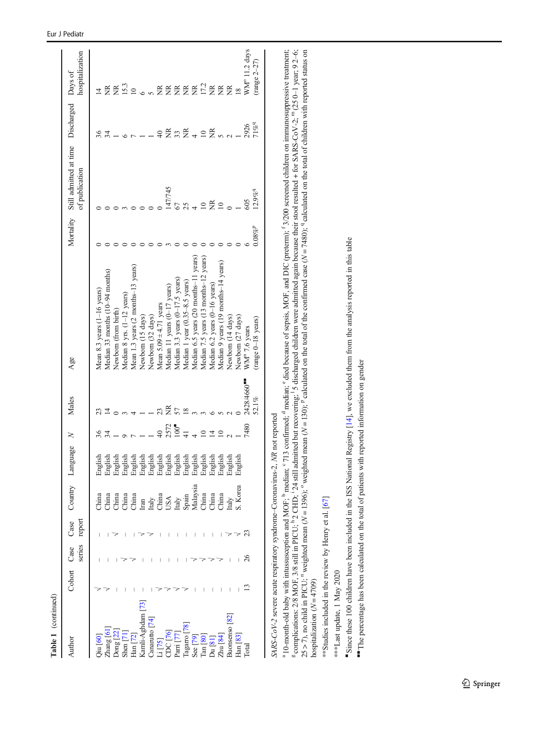| Author                                                                                        |                      | series | report |                                          | Cohort Case Case Country Language N                                                                                     |                          | Males     | Age                                       |                       | Mortality Still admitted at time Discharged Days of<br>of publication |             | hospitalization           |
|-----------------------------------------------------------------------------------------------|----------------------|--------|--------|------------------------------------------|-------------------------------------------------------------------------------------------------------------------------|--------------------------|-----------|-------------------------------------------|-----------------------|-----------------------------------------------------------------------|-------------|---------------------------|
| iu [60]                                                                                       |                      |        |        |                                          | -등<br>Engli                                                                                                             | 36                       |           | Mean 8.3 years (1-16 years)               |                       |                                                                       |             | $\overline{4}$            |
| $narg$ [61]                                                                                   |                      |        |        |                                          |                                                                                                                         |                          |           | Median 33 months $(10-94 \text{ months})$ |                       |                                                                       |             | Ĕ                         |
| $\frac{1}{22}$                                                                                |                      |        |        |                                          | 둥<br>Englis<br>Englis                                                                                                   |                          |           | Newborn (from birth)                      |                       |                                                                       |             | Ĕ,                        |
| hen $ 71$                                                                                     |                      |        |        |                                          |                                                                                                                         |                          |           | Median 8 yrs. $(1-12 \text{ years})$      |                       |                                                                       |             | 15.3                      |
| $\tan [72]$                                                                                   |                      |        |        |                                          |                                                                                                                         |                          |           | Mean 1.3 years (2 months-13 years)        |                       |                                                                       |             | $\subseteq$               |
| amli-Aghdam <sup>[73</sup> ]                                                                  |                      |        |        |                                          |                                                                                                                         |                          |           | Newborn (15 days)                         |                       |                                                                       |             |                           |
| anarutto [74]                                                                                 |                      |        |        |                                          |                                                                                                                         |                          |           | Newborn (32 days)                         |                       |                                                                       |             |                           |
| [75]                                                                                          |                      |        |        |                                          |                                                                                                                         |                          |           | Mean 5.09 $\pm$ 4.71 years                |                       |                                                                       |             | ¥                         |
|                                                                                               |                      |        |        |                                          | -등                                                                                                                      |                          | ž         | Median 11 years $(0-17$ years)            |                       | 147/745                                                               | 受           | Ĕ                         |
| arri [77]                                                                                     |                      |        |        |                                          | 둥<br>taglis<br>Englisha islam<br>Englisha islam<br>Englisha islam<br>Englisha islam<br>Englisha islam<br>Englisha islam | 2572<br>100 <sup>=</sup> | $\sum$    | Median 3.3 years $(0-17.5$ years)         |                       |                                                                       | $\tilde{3}$ | $\widetilde{\Xi}$         |
| agarro [78]                                                                                   |                      |        |        |                                          |                                                                                                                         | $\pm$                    |           | Median 1 year $(0.35-8.5$ years)          |                       |                                                                       | ž           | Ĕ                         |
|                                                                                               |                      |        |        |                                          |                                                                                                                         |                          |           | Median 6.5 years (20 months-11 years)     |                       |                                                                       |             | Ĕ                         |
| an [80]                                                                                       |                      |        |        |                                          |                                                                                                                         |                          |           | Median 7.5 years (13 months-12 years)     |                       |                                                                       | $\subseteq$ | $17.2$<br>NIR             |
|                                                                                               |                      |        |        |                                          | 곧 꼴 꼴 꼴                                                                                                                 |                          |           | Median 6.2 years $(0-16$ years)           |                       | Ĕ                                                                     | Ĕ           |                           |
| hu [84]                                                                                       |                      |        |        |                                          |                                                                                                                         |                          |           | Median 9 years (19 months-14 years)       |                       | $\subseteq$                                                           |             | $\widetilde{\Xi}$         |
| tuonsenso [82                                                                                 |                      |        |        |                                          |                                                                                                                         |                          |           | Newborn (14 days)                         |                       |                                                                       |             | E                         |
| Han [83]                                                                                      |                      |        |        | Italy<br>5. Korea                        | -등<br>⊡ngl                                                                                                              |                          |           | Newborn (27 days)                         |                       |                                                                       |             | $\frac{8}{2}$             |
| otal                                                                                          |                      |        |        |                                          |                                                                                                                         | 7480                     | 2428/4660 | WM <sup>n</sup> 7.6 years                 |                       | 605                                                                   | 2926        | WM <sup>o</sup> 11.2 days |
|                                                                                               |                      |        |        |                                          |                                                                                                                         |                          | 52.1%     | (range $0-18$ years)                      | $0.08\%$ <sup>P</sup> | $12.9%$ <sup>9</sup>                                                  | 71%9        | (range $2-27$             |
| $0.4 \, \text{D} \Omega \, \Omega_{\text{m}} \Omega \, \Omega \, \text{m} \Omega \, \text{m}$ | $\ddot{\phantom{a}}$ |        |        | nations are described by the continue of |                                                                                                                         | . مقام محمد من ATD       |           |                                           |                       |                                                                       |             |                           |

SARS-CoV-2 severe acute respiratory syndrome-Coronavirus-2, NR not reported SARS-CoV-2 severe acute respiratory syndrome–Coronavirus-2, NR not reported

<sup>8</sup> complications: 2/8 MOF, 3/8 still in PICU; <sup>h</sup>2 CHD; <sup>1</sup>24 still admitted but recovering; <sup>1</sup> S discharged children were admitted again because their stool resulted + for SARS-CoV-2;<sup>m</sup> (25 0-1 year; 9 2-6;<br>25 > 7), n <sup>a</sup> 10-month-old baby with intussusception and MOF; <sup>b</sup> median; °713 confirmed; <sup>d</sup> median; °died because of sepsis, MOF, and DIC (preterm); <sup>f</sup> 3/200 screened children on immunosuppressive treatment; 25 > 7), no child in PICU; <sup>n</sup> weighted mean (N = 1396); <sup>o</sup> weighted mean (N = 130); <sup>p</sup> calculated on the total of the confirmed case (N = 7480); <sup>o</sup> calculated on the total of children with reported status on <sup>3</sup>10-month-old baby with intussusception and MOF; <sup>b</sup> median; <sup>6</sup>713 confirmed; <sup>4</sup> median; <sup>6</sup> died because of sepsis, MOF, and DIC (preterm); <sup>f</sup> 3/200 screened children on immunosuppressive treatment; and Dick their st  $m(250-1 \text{ year}; 92-6;$ hospitalization  $(N = 4709)$ hospitalization  $(N = 4709)$ 

\*\*Studies included in the review by Henry et al. [67] \*\*Studies included in the review by Henry et al. [\[67](#page-15-0)]

\*\*\*\*Last update, 1 May 2020 \*\*\*Last update, 1 May 2020 Since these 100 children have been included in the ISS National Registry [14], we excluded them from the analysis reported in this table Since these 100 children have been included in the ISS National Registry [[14](#page-13-0)], we excluded them from the analysis reported in this table

"The percentage has been calculated on the total of patients with reported information on gender ■■ The percentage has been calculated on the total of patients with reported information on gender

Table 1 (continued)

Table 1 (continued)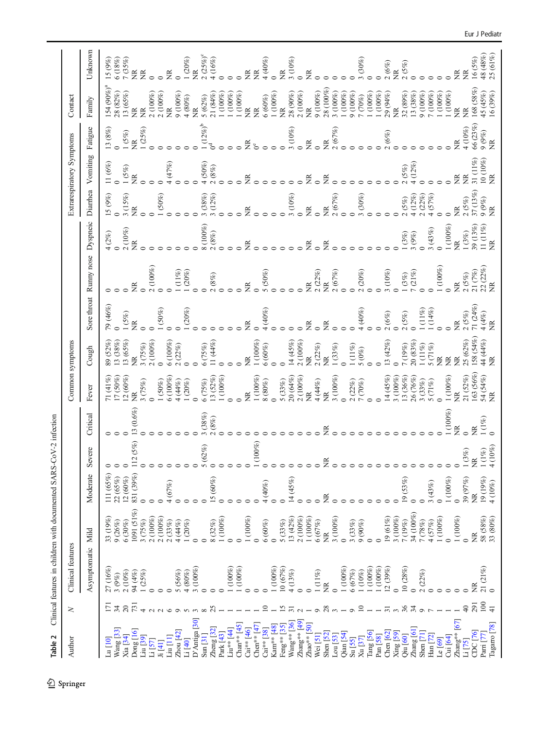Table 2 Clinical features in children with documented SARS-CoV-2 infection Table 2 Clinical features in children with documented SARS-CoV-2 infection

<span id="page-5-0"></span>

| Author                              | $\geq$              | Clinical features    |                         |                   |                                                                              |              | Common symptoms                                                                |                                         |                                                            |                        |                              |                    | Extrarespiratory Symptoms |                    | Contact                                      |                                                                              |
|-------------------------------------|---------------------|----------------------|-------------------------|-------------------|------------------------------------------------------------------------------|--------------|--------------------------------------------------------------------------------|-----------------------------------------|------------------------------------------------------------|------------------------|------------------------------|--------------------|---------------------------|--------------------|----------------------------------------------|------------------------------------------------------------------------------|
|                                     |                     | Asymptomatic         | Mild                    | Moderate          | Severe                                                                       | Critical     | Fever                                                                          | Cough                                   |                                                            | Sore throat Runny nose | Dyspneic                     | Diarrhea           | Vomiting Fatigue          |                    | Family                                       | Unknown                                                                      |
| $\mathop{\rm Lu}\nolimits[10]$      | $\overline{171}$    | 27 (16%)             | 33 (19%)                | 111 ( $65\%$ )    |                                                                              |              |                                                                                | 89 (52%)                                | 79 (46%)                                                   |                        | $\frac{4}{0}$ (2%)           | $15(9\%)$          | $11~(6\%)$                | $^{13\ (8\%)}_{0}$ |                                              | 15 (9%)                                                                      |
| Wang <sup>[33</sup>                 | 34                  | 3(9%)                | 9(26%)                  | 22 (65%)          |                                                                              |              | 71 (41%)<br>17 (50%)<br>12 (60%)                                               | 13 (38%)                                |                                                            |                        |                              |                    |                           |                    | $154 (90\%)^a$<br>$28 (82\%)$<br>$13 (65\%)$ | $\begin{array}{l} 6\ (18\%) \\ 7\ (35\%) \\ \rm NR \\ \rm MR \\ \end{array}$ |
| Xia [34]                            | $\overline{c}$      | 2(10%)               | $6(30\%)$               | 12 (60%)          |                                                                              |              |                                                                                | 13 (65%)                                | $1(5\%)$ NR                                                |                        | $2\,(10\%)$ NR               | 3(15%)             | $1(5\%)$                  | $1(5\%)$ NR        |                                              |                                                                              |
| $\text{Long}$ [16]                  | 731                 | 94 (4%)              | 1091 (51%)              | 831 (39%)         | (2(5%)                                                                       | $3\ (0.6\%)$ | $\widetilde{\mathbf{z}}$                                                       | ğ                                       |                                                            |                        |                              |                    |                           |                    | $\widetilde{\Xi}$                            |                                                                              |
| Liu [39]                            | 4                   | (25%)                | 3(75%)                  |                   |                                                                              |              | 3(75%)                                                                         | 3(75%)                                  |                                                            |                        |                              |                    |                           | 1(25%)             | $\widetilde{\Xi}$                            |                                                                              |
| $Li$ [57]                           |                     |                      | 2 (100%)                |                   |                                                                              |              |                                                                                | 2(100%)                                 |                                                            | $\frac{2(100\%)}{0}$   |                              |                    |                           |                    | 2(100%)                                      |                                                                              |
| Ji [41]                             |                     |                      | 2 (100%)                |                   |                                                                              |              | 1(50%)                                                                         |                                         | $1(50\%)$                                                  |                        |                              | $(50\%)$           |                           |                    | $2\ (100\%)$                                 |                                                                              |
| $Lin$ $[11]$                        |                     | 5 (56%)              | 2(33%)<br>4(44%         | (67%)             |                                                                              |              | 5(100%)<br>4(44%)                                                              | 6(100%)                                 |                                                            |                        |                              |                    | $(47\%)$                  |                    | 9(100%)<br>ğ                                 |                                                                              |
| Zhou $[42]$                         |                     |                      |                         |                   |                                                                              |              |                                                                                | 2(22%)                                  |                                                            | $1(11\%)$ $1(20\%)$    |                              |                    |                           |                    |                                              |                                                                              |
| D'Antiga <sup>[30]</sup><br>Li [40] |                     | 3 (100%)<br>$(80\%)$ | (20%)                   |                   |                                                                              |              | 1(20%)                                                                         |                                         | $1~(20\%)$ $0$                                             |                        |                              |                    |                           |                    | $4\ (80\%)$<br>$\widetilde{\Xi}$             | $1~(20\%)$<br>$\widetilde{\Xi}$                                              |
| Sum[31]                             |                     |                      |                         |                   | (62%)                                                                        | 3(38%)       | 6(75%)                                                                         | 5(75%)                                  |                                                            |                        |                              | (38%)              | $(50\%)$                  | $(12\%)^b$         | $5\ (62\%)$                                  | $2 (25%)^c$                                                                  |
| Zheng <sup>[32]</sup>               |                     |                      | 8 (32%)                 | 5(60%)            |                                                                              | $2\ (8\%)$   |                                                                                | 1(44%)                                  |                                                            | $2 \ (8\%)$            | $_{2~(8\%)}^{8~(100\%)}$     | (12%)              | $2\ (8\%)$                |                    | 21 (84%)                                     | 4(16%)                                                                       |
| Park [43]                           |                     |                      | $(100\%)$               |                   |                                                                              |              | $13(52%)$<br>1 (100%)                                                          |                                         |                                                            |                        |                              |                    |                           |                    | 1(100%)                                      |                                                                              |
| Liu** [44]                          |                     | $(100\%)$            | $\circ$                 |                   |                                                                              |              |                                                                                |                                         |                                                            |                        |                              |                    |                           |                    | $1\,(100\%)$                                 |                                                                              |
| $Chan**[45]$                        |                     | $(100\%)$            |                         |                   |                                                                              |              |                                                                                |                                         |                                                            |                        |                              |                    |                           |                    | 1(100%)                                      |                                                                              |
| Cai** [46]                          |                     |                      | 1 (100%)                |                   |                                                                              |              | ¥                                                                              |                                         |                                                            |                        | $\widetilde{\Xi}$            | 受                  | $\approx$                 |                    | $\widetilde{\Xi}$                            |                                                                              |
| Chen** $[47]$                       |                     |                      |                         |                   | $(100\%)$                                                                    |              | $(100\%)$                                                                      | $(100\%)$                               |                                                            |                        |                              |                    |                           |                    | ğ                                            |                                                                              |
| Cai** [38]                          | $\supseteq$         |                      | $6(60\%)$               | 4 (40%)           |                                                                              |              | $8~(80\%)$                                                                     | $6(60\%)$                               | $4\ (40\%)$                                                | 5 (50%)                |                              |                    |                           |                    | 6(60%)                                       | 4 (40%)                                                                      |
| Kam** [48]<br>Feng** [35]           |                     | (100%)               |                         |                   |                                                                              |              |                                                                                |                                         |                                                            |                        |                              |                    |                           |                    | 1 (100%)                                     |                                                                              |
|                                     |                     | 10(67%)              | $5(33\%)$               |                   |                                                                              |              | 5(33%)                                                                         |                                         |                                                            |                        |                              |                    |                           |                    | $\widetilde{\Xi}$                            | NR<br>$3(10\%)$                                                              |
| Wang** [36]                         |                     | 4 (13%)              | 13(42%)                 | 4 (45%)           |                                                                              |              | $0$ (64%)                                                                      | (45%)                                   |                                                            |                        |                              | $(10\%)$           |                           | $(10\%)$           | 28 (90%)                                     |                                                                              |
| Zhang** [49]<br>$Zhao**[50]$        |                     |                      | 2 (100%)<br>$1~(100\%)$ |                   |                                                                              |              | $2\ (100\%)$<br>ー<br>デ                                                         | $2(100%)$<br>NR                         |                                                            |                        | $\widetilde{\mathfrak{S}}$   | $\widetilde{\Xi}$  |                           |                    | 2(100%)<br>ğ                                 | $\widetilde{\Xi}$                                                            |
| Wei [51]                            |                     | $1\, (11\%)$         | $6(67%)$                |                   |                                                                              |              | 4(44%)                                                                         |                                         |                                                            |                        |                              |                    |                           |                    |                                              |                                                                              |
| Shen [52]                           |                     | $\widetilde{\Xi}$    | $\widetilde{\Xi}$       |                   | $\approx$                                                                    |              | 。<br>第                                                                         | $2~(22\%)$ NR                           |                                                            | $2~(22\%)$ NR          | $\widetilde{\mathcal{F}}$    | $\widetilde{\Xi}$  |                           | ğ                  | $9(100%)$<br>$28(100%)$                      |                                                                              |
| Lou [53]                            |                     |                      | 3 (100%)                |                   |                                                                              |              | $3~(100\%)$                                                                    | 1(33%)                                  |                                                            | 2(67%)                 |                              | 2(67%)             |                           | 2(67%)             | 3 (100%)                                     |                                                                              |
| $Qian$ [54]                         |                     | (100%)               |                         |                   |                                                                              |              |                                                                                |                                         |                                                            |                        |                              |                    |                           |                    | $1~(100\%)$                                  |                                                                              |
| $Su$ [55]                           |                     | 6(67%)               | 3(33%)                  |                   |                                                                              |              | 2 (22%)<br>7 (70%)                                                             | $1 \, (11\%)$ $5 \, (0\%)$              |                                                            |                        |                              |                    |                           |                    | $9(100\%)$<br>7 $(70\%)$                     |                                                                              |
| Xu [37]                             | $\supseteq$         | $(10\%)$             | $9(90\%)$               |                   |                                                                              |              |                                                                                |                                         | $(40\%)$                                                   | $2\ (20\%)$ $0$        |                              | $3\ (30\%)$        |                           |                    |                                              | $3(30\%)$                                                                    |
| Tang [56]                           |                     | (100%)               | $\circ$                 |                   |                                                                              |              |                                                                                |                                         |                                                            |                        |                              |                    |                           |                    | 1(100%)                                      |                                                                              |
| Pan [58]                            |                     | (100%)               | ⊂                       |                   |                                                                              |              |                                                                                |                                         |                                                            |                        |                              |                    |                           |                    | 1(100%)                                      |                                                                              |
| Chen [62]                           |                     | 12(39%)              | 19(61%)<br>3(100%)      |                   |                                                                              |              | $\begin{array}{c} 14\ (45\%) \\ 3\ (100\%) \\ 13\ (36\%) \end{array}$          | 13 $(42%)$                              | $2\ (6\%)$                                                 | $3\ (10\%)$            |                              |                    |                           | 2(6%)              | 29 (94%)<br>ğ                                | $2\ (6\%)$                                                                   |
| Xing [59]                           |                     |                      |                         |                   |                                                                              |              |                                                                                |                                         |                                                            |                        |                              |                    |                           |                    |                                              | NR<br>2 (5%)                                                                 |
| Zhang [61]<br>Qiu [60]              | 36<br>$\mathcal{L}$ | $10 (28\%)$          | 34 (100%)<br>7 (19%)    | 9(53%)            |                                                                              |              | 26 (76%)                                                                       | 20(83%)<br>7 (19%)                      | $2\ (5\%)$                                                 | $1(3%)$<br>7(21%)      | $\frac{1}{3}\frac{3\%}{9\%}$ | $2(5%)$<br>4(12%)  | 2 (5%)<br>4 (12%)         |                    | 32 (89%)<br>$13~(38\%)$                      |                                                                              |
| Shen <sup>[71]</sup>                |                     | 2 (22%)              | $7\ (78\%)$             |                   |                                                                              |              |                                                                                |                                         |                                                            |                        |                              |                    |                           |                    |                                              |                                                                              |
| Han [72]                            |                     |                      | 4(57%)                  | 3(43%)            |                                                                              |              | $\frac{3}{5}\frac{33\%}{(71\%)}$                                               | $\frac{1}{5}$ (11%)<br>NR               | $\begin{array}{c} 1\ (11\%) \\ 1\ (14\%) \\ 0 \end{array}$ |                        | $3(43%)$<br>0                | $2(22%)$<br>4(57%) |                           |                    | $9(100%)$<br>7 $(100%)$                      |                                                                              |
| Le [69]                             |                     |                      | 1 (100%)                |                   |                                                                              |              |                                                                                |                                         |                                                            | $1\, (100\%)$          |                              |                    |                           |                    | 1(100%)                                      |                                                                              |
| Cui [64]                            |                     |                      | $\circ$                 | 1(100%)           |                                                                              | $(100\%)$    | 1(100%)                                                                        | $\widetilde{\Xi}$                       |                                                            |                        | $1(100\%)$                   |                    |                           |                    | 1 (100%)                                     |                                                                              |
| Zhang** $[67]$                      |                     |                      | 1(100%)                 | $\circ$           |                                                                              |              | ğ                                                                              | $\widetilde{\Xi}$                       | ğ                                                          |                        | ğ                            | $\widetilde{\Xi}$  |                           | ğ                  | $\widetilde{\Xi}$                            |                                                                              |
| Li [75]                             | $\overline{4}$      |                      | $\circ$                 | 39 (97%)          |                                                                              |              | 21 (52%)                                                                       |                                         | 2(5%)                                                      | 2(5%)                  | $1\ (3\%)$                   | 2(5%)              |                           | $4(10\%)$          | $\widetilde{\Xi}$                            |                                                                              |
| $CDC$ $[76]$<br>Parri [77]          | 291                 |                      | $\widetilde{\Xi}$       | $\widetilde{\Xi}$ |                                                                              |              |                                                                                |                                         | $71 (24\%)$                                                | $21\ (7\%)$            | 39 (13%)                     | 37 (13%)           | 31 $(11%)$                | 66 (23%)           | 168 (58%)                                    |                                                                              |
| Tagarro [78]                        | $\frac{100}{41}$    | 21 (21%)             | $58 (58\%)$ $33 (80\%)$ | (990)<br>4 (10%)  | $\begin{array}{c} 1\,(3\%)\\ \mathrm{NR}\\ 1\,(1\%)\\ 4\,(10\%) \end{array}$ | $(1\%)$      | $\begin{array}{l} 163 \ (56\%) \\ 54 \ (54\%) \\ \hline \text{NR} \end{array}$ | 25 (62%)<br>158 (54%)<br>44 (44%)<br>NR | $4\,(4\%)$ NR                                              | $22~(22\%)$ NR         | $11~(11\%)$ NR               | $9\,9\%$ )<br>MR   | $10~(10\%)$ NR            | $9\,9\%$ )<br>MR   | $45(45%)$<br>16 (39%)                        | $\begin{array}{c} 16 \ (5\%) \\ 48 \ (48\%) \\ 25 \ (61\%) \end{array}$      |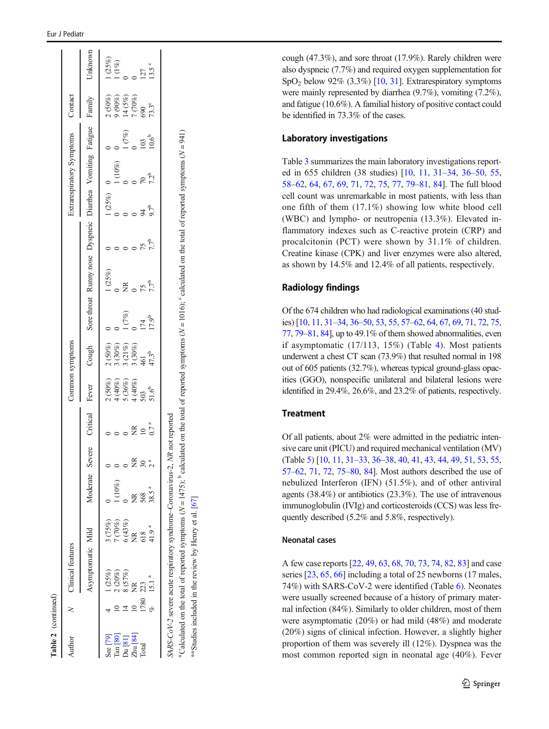| Author      |      | Clinical features                                                                                                                                                                                                |                   |                   |   |                  |                                                           | Common symptoms                                            |                     |                                                                  |                  |           | Extrarespiratory Symptoms |                                                | Contact                                                                                                |                   |
|-------------|------|------------------------------------------------------------------------------------------------------------------------------------------------------------------------------------------------------------------|-------------------|-------------------|---|------------------|-----------------------------------------------------------|------------------------------------------------------------|---------------------|------------------------------------------------------------------|------------------|-----------|---------------------------|------------------------------------------------|--------------------------------------------------------------------------------------------------------|-------------------|
|             |      | Asymptomatic Mild                                                                                                                                                                                                |                   | Moderate Severe   |   | Critical Fever   |                                                           | Cough                                                      |                     | Sore throat Runny nose Dyspneic Diarrhea Vomiting Fatigue Family |                  |           |                           |                                                |                                                                                                        | Unknown           |
| See [79]    |      | 1(25%)                                                                                                                                                                                                           | 3(75%)            |                   |   |                  |                                                           |                                                            |                     | $1\ (25\%)$                                                      |                  | $(25%)$ 0 |                           |                                                |                                                                                                        |                   |
| Tan [80]    |      | 2(20%)                                                                                                                                                                                                           | 7 (70%)           | (10%)             |   |                  |                                                           |                                                            |                     |                                                                  |                  |           | $1\ (10\%)$               |                                                |                                                                                                        | $(25%)$<br>$(1%)$ |
| $Du$ $[81]$ |      | 8(57%)                                                                                                                                                                                                           | 6(43%)            |                   |   |                  | 2 (50%)<br>4 (40%)<br>5 (36%)<br>5 (3<br>5 1.6°<br>5 1.6° | 2 (50%)<br>3 (30%)<br>3 (21%)<br>4 (1<br>47,3 <sup>b</sup> |                     |                                                                  |                  |           |                           |                                                | $\begin{array}{l} 2\ (50\%) \\ 9\ (90\%) \\ 1\ 4\ (5\%) \\ 7\ (70\%) \\ 690 \\ 73.3^\circ \end{array}$ |                   |
| $Zhu$ [84]  |      |                                                                                                                                                                                                                  |                   |                   | ž | Ĕ                |                                                           |                                                            | $^{1(7%)}_{1}$      |                                                                  |                  |           |                           | $\frac{1(7\%)}{0}$<br>103<br>10.6 <sup>b</sup> |                                                                                                        |                   |
| Гotal       | 1780 | 223                                                                                                                                                                                                              | 518               | 568               |   | $\overline{10}$  |                                                           |                                                            | $174$<br>$17.9^{b}$ |                                                                  |                  |           |                           |                                                |                                                                                                        | 127               |
|             |      | 15.1 <sup>a</sup>                                                                                                                                                                                                | 41.9 <sup>a</sup> | 38.5 <sup>a</sup> |   | 0.7 <sup>a</sup> |                                                           |                                                            |                     |                                                                  | 7.7 <sup>b</sup> | $9.7^{b}$ | 7.2 <sup>b</sup>          |                                                |                                                                                                        | $13.5^{\circ}$    |
|             |      | SARS-CoV-2 severe acute respiratory syndrome-Coronavirus-2, NR                                                                                                                                                   |                   |                   |   | not reported     |                                                           |                                                            |                     |                                                                  |                  |           |                           |                                                |                                                                                                        |                   |
|             |      | <sup>a</sup> Calculated on the total of reported symptoms ( $N = 1475$ ); <sup>b</sup> calculated on the total of reported symptoms ( $N = 1016$ ); ° calculated on the total of reported symptoms ( $N = 941$ ) |                   |                   |   |                  |                                                           |                                                            |                     |                                                                  |                  |           |                           |                                                |                                                                                                        |                   |
|             |      | **Studies included in the review by Henry et al. [67]                                                                                                                                                            |                   |                   |   |                  |                                                           |                                                            |                     |                                                                  |                  |           |                           |                                                |                                                                                                        |                   |

Eur J Pediatr

[able 2 (continued)

(continued)

cough (47.3%), and sore throat (17.9%). Rarely children were also dyspneic (7.7%) and required oxygen supplementation for SpO <sup>2</sup> below 92% (3.3%) [\[10](#page-13-0) , [31\]](#page-14-0). Extrarespiratory symptoms were mainly represented by diarrhea (9.7%), vomiting (7.2%), and fatigue (10.6%). A familial history of positive contact could be identified in 73.3% of the cases.

## Laboratory investigations

Table [3](#page-8-0) summarizes the main laboratory investigations reported in 655 children (38 studies) [\[10](#page-13-0), [11](#page-13-0), [31](#page-14-0)–[34,](#page-14-0) [36](#page-14-0)–[50,](#page-15-0) [55,](#page-15-0) [58](#page-15-0) –[62](#page-15-0) , [64](#page-15-0) , [67](#page-15-0) , [69](#page-15-0) , [71](#page-15-0) , [72](#page-15-0) , [75](#page-15-0) , [77](#page-15-0) , [79](#page-16-0) –[81](#page-16-0) , [84\]](#page-16-0). The full blood cell count was unremarkable in most patients, with less than one fifth of them (17.1%) showing low white blood cell (WBC) and lympho- or neutropenia (13.3%). Elevated inflammatory indexes such as C-reactive protein (CRP) and procalcitonin (PCT) were shown by 31.1% of children. Creatine kinase (CPK) and liver enzymes were also altered, as shown by 14.5% and 12.4% of all patients, respectively.

## Radiology findings

Of the 674 children who had radiological examinations (40 studies) [\[10,](#page-13-0) [11](#page-13-0), [31](#page-14-0)–[34](#page-14-0), [36](#page-14-0)–[50](#page-15-0), [53](#page-15-0), [55,](#page-15-0) [57](#page-15-0)–[62,](#page-15-0) [64,](#page-15-0) [67](#page-15-0), [69](#page-15-0), [71](#page-15-0), [72,](#page-15-0) [75,](#page-15-0) [77](#page-15-0) , [79](#page-16-0) –[81](#page-16-0) , [84\]](#page-16-0), up to 49.1% of them showed abnormalities, even if asymptomatic (17/113, 15%) (Table [4\)](#page-10-0). Most patients underwent a chest CT scan (73.9%) that resulted normal in 198 out of 605 patients (32.7%), whereas typical ground-glass opacities (GGO), nonspecific unilateral and bilateral lesions were identified in 29.4%, 26.6%, and 23.2% of patients, respectively.

## **Treatment**

Of all patients, about 2% were admitted in the pediatric intensive care unit (PICU) and required mechanical ventilation (MV) (Table [5\)](#page-11-0) [\[10](#page-13-0), [11](#page-13-0), [31](#page-14-0)-[33](#page-14-0), [36](#page-14-0)-[38](#page-14-0), [40](#page-14-0), [41](#page-14-0), [43](#page-14-0), [44](#page-14-0), [49](#page-15-0), [51](#page-15-0), [53](#page-15-0), [55](#page-15-0), [57](#page-15-0) –[62](#page-15-0) , [71](#page-15-0) , [72](#page-15-0) , [75](#page-15-0) –[80](#page-16-0) , [84\]](#page-16-0). Most authors described the use of nebulized Interferon (IFN) (51.5%), and of other antiviral agents (38.4%) or antibiotics (23.3%). The use of intravenous immunoglobulin (IVIg) and corticosteroids (CCS) was less frequently described (5.2% and 5.8%, respectively).

#### Neonatal cases

A few case reports [\[22](#page-14-0), [49](#page-15-0), [63](#page-15-0), [68](#page-15-0), [70](#page-15-0), [73](#page-15-0), [74](#page-15-0), [82](#page-16-0), [83](#page-16-0)] and case series [\[23](#page-14-0), [65](#page-15-0), [66\]](#page-15-0) including a total of 25 newborns (17 males, 74%) with SARS-CoV-2 were identified (Table [6\)](#page-12-0). Neonates were usually screened because of a history of primary maternal infection (84%). Similarly to older children, most of them were asymptomatic (20%) or had mild (48%) and moderate (20%) signs of clinical infection. However, a slightly higher proportion of them was severely ill (12%). Dyspnea was the most common reported sign in neonatal age (40%). Fever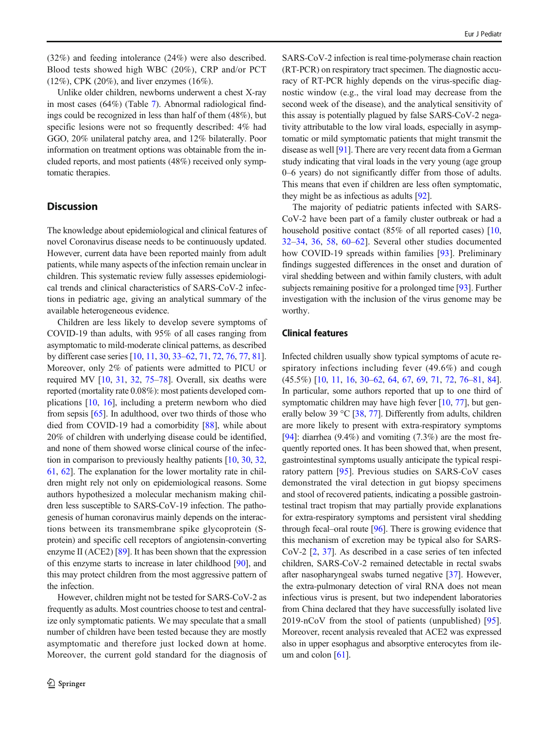(32%) and feeding intolerance (24%) were also described. Blood tests showed high WBC (20%), CRP and/or PCT (12%), CPK (20%), and liver enzymes (16%).

Unlike older children, newborns underwent a chest X-ray in most cases (64%) (Table [7](#page-12-0)). Abnormal radiological findings could be recognized in less than half of them (48%), but specific lesions were not so frequently described: 4% had GGO, 20% unilateral patchy area, and 12% bilaterally. Poor information on treatment options was obtainable from the included reports, and most patients (48%) received only symptomatic therapies.

## **Discussion**

The knowledge about epidemiological and clinical features of novel Coronavirus disease needs to be continuously updated. However, current data have been reported mainly from adult patients, while many aspects of the infection remain unclear in children. This systematic review fully assesses epidemiological trends and clinical characteristics of SARS-CoV-2 infections in pediatric age, giving an analytical summary of the available heterogeneous evidence.

Children are less likely to develop severe symptoms of COVID-19 than adults, with 95% of all cases ranging from asymptomatic to mild-moderate clinical patterns, as described by different case series [\[10,](#page-13-0) [11](#page-13-0), [30,](#page-14-0) [33](#page-14-0)–[62,](#page-15-0) [71,](#page-15-0) [72](#page-15-0), [76,](#page-15-0) [77](#page-15-0), [81\]](#page-16-0). Moreover, only 2% of patients were admitted to PICU or required MV [[10,](#page-13-0) [31,](#page-14-0) [32](#page-14-0), [75](#page-15-0)–[78](#page-15-0)]. Overall, six deaths were reported (mortality rate 0.08%): most patients developed complications [[10,](#page-13-0) [16\]](#page-13-0), including a preterm newborn who died from sepsis [[65\]](#page-15-0). In adulthood, over two thirds of those who died from COVID-19 had a comorbidity [[88\]](#page-16-0), while about 20% of children with underlying disease could be identified, and none of them showed worse clinical course of the infection in comparison to previously healthy patients [\[10,](#page-13-0) [30,](#page-14-0) [32,](#page-14-0) [61,](#page-15-0) [62](#page-15-0)]. The explanation for the lower mortality rate in children might rely not only on epidemiological reasons. Some authors hypothesized a molecular mechanism making children less susceptible to SARS-CoV-19 infection. The pathogenesis of human coronavirus mainly depends on the interactions between its transmembrane spike glycoprotein (Sprotein) and specific cell receptors of angiotensin-converting enzyme II (ACE2) [\[89\]](#page-16-0). It has been shown that the expression of this enzyme starts to increase in later childhood [[90](#page-16-0)], and this may protect children from the most aggressive pattern of the infection.

However, children might not be tested for SARS-CoV-2 as frequently as adults. Most countries choose to test and centralize only symptomatic patients. We may speculate that a small number of children have been tested because they are mostly asymptomatic and therefore just locked down at home. Moreover, the current gold standard for the diagnosis of SARS-CoV-2 infection is real time-polymerase chain reaction (RT-PCR) on respiratory tract specimen. The diagnostic accuracy of RT-PCR highly depends on the virus-specific diagnostic window (e.g., the viral load may decrease from the second week of the disease), and the analytical sensitivity of this assay is potentially plagued by false SARS-CoV-2 negativity attributable to the low viral loads, especially in asymptomatic or mild symptomatic patients that might transmit the disease as well [[91](#page-16-0)]. There are very recent data from a German study indicating that viral loads in the very young (age group 0–6 years) do not significantly differ from those of adults. This means that even if children are less often symptomatic, they might be as infectious as adults [\[92](#page-16-0)].

The majority of pediatric patients infected with SARS-CoV-2 have been part of a family cluster outbreak or had a household positive contact (85% of all reported cases) [[10,](#page-13-0) [32](#page-14-0)–[34](#page-14-0), [36,](#page-14-0) [58](#page-15-0), [60](#page-15-0)–[62\]](#page-15-0). Several other studies documented how COVID-19 spreads within families [[93\]](#page-16-0). Preliminary findings suggested differences in the onset and duration of viral shedding between and within family clusters, with adult subjects remaining positive for a prolonged time [\[93\]](#page-16-0). Further investigation with the inclusion of the virus genome may be worthy.

## Clinical features

Infected children usually show typical symptoms of acute respiratory infections including fever (49.6%) and cough (45.5%) [\[10,](#page-13-0) [11](#page-13-0), [16,](#page-13-0) [30](#page-14-0)–[62](#page-15-0), [64,](#page-15-0) [67](#page-15-0), [69,](#page-15-0) [71](#page-15-0), [72,](#page-15-0) [76](#page-15-0)–[81](#page-16-0), [84\]](#page-16-0). In particular, some authors reported that up to one third of symptomatic children may have high fever [\[10,](#page-13-0) [77\]](#page-15-0), but generally below 39  $\degree$ C [\[38](#page-14-0), [77\]](#page-15-0). Differently from adults, children are more likely to present with extra-respiratory symptoms [\[94](#page-16-0)]: diarrhea  $(9.4\%)$  and vomiting  $(7.3\%)$  are the most frequently reported ones. It has been showed that, when present, gastrointestinal symptoms usually anticipate the typical respiratory pattern [\[95](#page-16-0)]. Previous studies on SARS-CoV cases demonstrated the viral detection in gut biopsy specimens and stool of recovered patients, indicating a possible gastrointestinal tract tropism that may partially provide explanations for extra-respiratory symptoms and persistent viral shedding through fecal–oral route [[96](#page-16-0)]. There is growing evidence that this mechanism of excretion may be typical also for SARS-CoV-2 [\[2](#page-13-0), [37\]](#page-14-0). As described in a case series of ten infected children, SARS-CoV-2 remained detectable in rectal swabs after nasopharyngeal swabs turned negative [\[37\]](#page-14-0). However, the extra-pulmonary detection of viral RNA does not mean infectious virus is present, but two independent laboratories from China declared that they have successfully isolated live 2019-nCoV from the stool of patients (unpublished) [\[95](#page-16-0)]. Moreover, recent analysis revealed that ACE2 was expressed also in upper esophagus and absorptive enterocytes from ileum and colon  $[61]$  $[61]$ .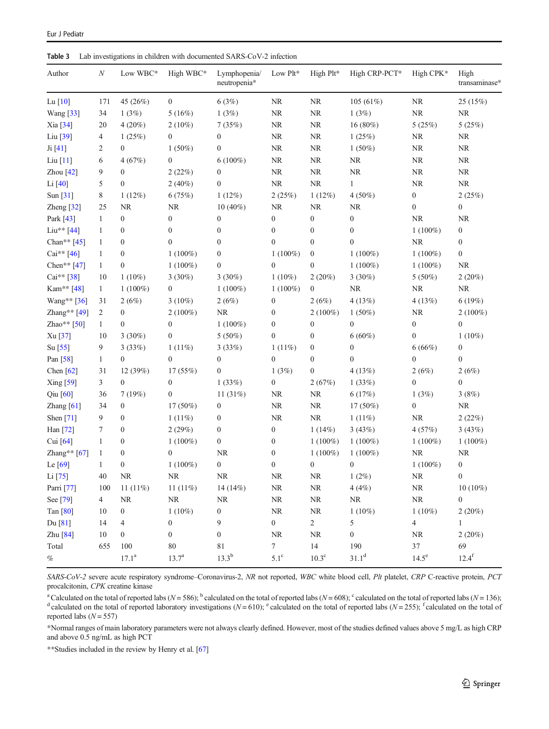<span id="page-8-0"></span>Table 3 Lab investigations in children with documented SARS-CoV-2 infection Author  $N$  Low WBC\* High WBC\* Lymphopenia/ neutropenia\* Low Plt\* High Plt\* High CRP-PCT\* High CPK\* High Lu  $[10]$  $[10]$  171 45 (26%) 0 6 (3%) NR NR 105 (61%) NR 25 (15%) Wang [[33\]](#page-14-0) 34 1 (3%) 5 (16%) 1 (3%) NR NR 1 (3%) NR NR

| Xia [34]              | 20             | 4(20%)           | $2(10\%)$        | 7(35%)           | $\rm NR$         | <b>NR</b>        | 16 (80%)         | 5(25%)           | 5(25%)           |
|-----------------------|----------------|------------------|------------------|------------------|------------------|------------------|------------------|------------------|------------------|
| Liu <sup>[39]</sup>   | $\overline{4}$ | 1(25%)           | $\boldsymbol{0}$ | $\boldsymbol{0}$ | NR               | $\rm NR$         | 1(25%)           | $\rm NR$         | $\rm NR$         |
| Ji [41]               | $\overline{c}$ | $\overline{0}$   | $1(50\%)$        | $\boldsymbol{0}$ | $\rm NR$         | $\rm NR$         | $1(50\%)$        | $\rm NR$         | $\rm NR$         |
| Liu $[11]$            | 6              | 4(67%)           | $\boldsymbol{0}$ | $6(100\%)$       | $\rm NR$         | <b>NR</b>        | $\rm NR$         | NR               | <b>NR</b>        |
| Zhou $[42]$           | 9              | $\boldsymbol{0}$ | 2(22%)           | $\boldsymbol{0}$ | $\rm NR$         | $\rm NR$         | $\rm NR$         | $\rm NR$         | $\rm NR$         |
| Li $[40]$             | 5              | $\boldsymbol{0}$ | $2(40\%)$        | $\boldsymbol{0}$ | $\rm NR$         | $\rm NR$         | $\mathbf{1}$     | $\rm NR$         | NR               |
| Sun [31]              | 8              | 1(12%)           | 6(75%)           | $1(12\%)$        | 2(25%)           | 1(12%)           | $4(50\%)$        | $\boldsymbol{0}$ | 2(25%)           |
| Zheng <sup>[32]</sup> | 25             | $\rm NR$         | $\rm NR$         | $10(40\%)$       | $\rm NR$         | $\rm NR$         | $\rm NR$         | $\boldsymbol{0}$ | $\boldsymbol{0}$ |
| Park [43]             | $\mathbf{1}$   | $\boldsymbol{0}$ | $\boldsymbol{0}$ | $\boldsymbol{0}$ | $\boldsymbol{0}$ | $\boldsymbol{0}$ | $\boldsymbol{0}$ | $\rm NR$         | $\rm NR$         |
| Liu** [44]            | $\mathbf{1}$   | $\boldsymbol{0}$ | $\boldsymbol{0}$ | $\boldsymbol{0}$ | $\boldsymbol{0}$ | $\boldsymbol{0}$ | $\boldsymbol{0}$ | $1(100\%)$       | $\boldsymbol{0}$ |
| Chan** $[45]$         | $\mathbf{1}$   | $\mathbf{0}$     | $\boldsymbol{0}$ | $\boldsymbol{0}$ | $\boldsymbol{0}$ | $\boldsymbol{0}$ | $\boldsymbol{0}$ | $\rm NR$         | $\boldsymbol{0}$ |
| Cai** [46]            | $\mathbf{1}$   | $\boldsymbol{0}$ | $1(100\%)$       | $\boldsymbol{0}$ | $1(100\%)$       | $\boldsymbol{0}$ | $1(100\%)$       | $1(100\%)$       | $\boldsymbol{0}$ |
| Chen** $[47]$         | $\mathbf{1}$   | $\boldsymbol{0}$ | $1(100\%)$       | $\boldsymbol{0}$ | $\mathbf{0}$     | $\boldsymbol{0}$ | $1(100\%)$       | $1(100\%)$       | $\rm NR$         |
| Cai** [38]            | 10             | $1(10\%)$        | 3(30%)           | 3(30%)           | $1(10\%)$        | 2(20%)           | 3(30%)           | $5(50\%)$        | 2(20%)           |
| Kam** [48]            | $\mathbf{1}$   | $1(100\%)$       | $\boldsymbol{0}$ | $1(100\%)$       | $1(100\%)$       | $\boldsymbol{0}$ | <b>NR</b>        | $\rm NR$         | <b>NR</b>        |
| Wang** $[36]$         | 31             | 2(6%)            | $3(10\%)$        | 2(6%)            | $\boldsymbol{0}$ | 2(6%)            | 4(13%)           | 4(13%)           | 6(19%)           |
| Zhang** $[49]$        | 2              | $\boldsymbol{0}$ | $2(100\%)$       | $\rm NR$         | $\boldsymbol{0}$ | $2(100\%)$       | $1(50\%)$        | $\rm NR$         | $2(100\%)$       |
| Zhao** [50]           | $\mathbf{1}$   | $\boldsymbol{0}$ | $\boldsymbol{0}$ | $1(100\%)$       | $\boldsymbol{0}$ | $\boldsymbol{0}$ | $\boldsymbol{0}$ | $\boldsymbol{0}$ | $\boldsymbol{0}$ |
| Xu [37]               | 10             | 3(30%)           | $\boldsymbol{0}$ | $5(50\%)$        | $\boldsymbol{0}$ | $\boldsymbol{0}$ | $6(60\%)$        | $\boldsymbol{0}$ | $1(10\%)$        |
| Su [55]               | 9              | 3(33%)           | $1(11\%)$        | 3(33%)           | 1(11%)           | $\boldsymbol{0}$ | $\boldsymbol{0}$ | 6(66%)           | $\boldsymbol{0}$ |
| Pan [58]              | $\mathbf{1}$   | $\mathbf{0}$     | $\boldsymbol{0}$ | $\boldsymbol{0}$ | $\overline{0}$   | $\boldsymbol{0}$ | $\mathbf{0}$     | $\mathbf{0}$     | $\boldsymbol{0}$ |
| Chen $[62]$           | 31             | 12(39%)          | 17(55%)          | $\boldsymbol{0}$ | 1(3%)            | $\boldsymbol{0}$ | 4(13%)           | 2(6%)            | 2(6%)            |
| Xing [59]             | $\overline{3}$ | $\boldsymbol{0}$ | $\boldsymbol{0}$ | 1(33%)           | $\boldsymbol{0}$ | 2(67%)           | 1(33%)           | $\boldsymbol{0}$ | $\boldsymbol{0}$ |
| Qiu [60]              | 36             | 7(19%)           | $\boldsymbol{0}$ | 11 $(31%)$       | $\rm NR$         | <b>NR</b>        | 6(17%)           | 1(3%)            | 3(8%)            |
| Zhang <sup>[61]</sup> | 34             | $\boldsymbol{0}$ | 17 (50%)         | $\boldsymbol{0}$ | $\rm NR$         | $\rm NR$         | $17(50\%)$       | $\boldsymbol{0}$ | $\rm NR$         |
| Shen [71]             | 9              | $\boldsymbol{0}$ | 1(11%)           | $\boldsymbol{0}$ | NR               | $\rm NR$         | $1(11\%)$        | <b>NR</b>        | 2(22%)           |
| Han [72]              | 7              | $\boldsymbol{0}$ | 2(29%)           | $\boldsymbol{0}$ | $\boldsymbol{0}$ | 1(14%)           | 3(43%)           | 4(57%)           | 3 $(43%)$        |
| Cui [64]              | $\mathbf{1}$   | $\boldsymbol{0}$ | $1(100\%)$       | $\boldsymbol{0}$ | $\boldsymbol{0}$ | $1(100\%)$       | $1(100\%)$       | $1(100\%)$       | $1(100\%)$       |
| Zhang** $[67]$        | $\mathbf{1}$   | $\boldsymbol{0}$ | $\mathbf{0}$     | <b>NR</b>        | $\boldsymbol{0}$ | $1(100\%)$       | $1(100\%)$       | $\rm NR$         | $\rm NR$         |
| Le [69]               | $\mathbf{1}$   | $\boldsymbol{0}$ | $1(100\%)$       | $\boldsymbol{0}$ | $\boldsymbol{0}$ | $\boldsymbol{0}$ | $\overline{0}$   | $1(100\%)$       | $\boldsymbol{0}$ |
| Li [75]               | 40             | <b>NR</b>        | $\rm NR$         | <b>NR</b>        | $\rm NR$         | $\rm NR$         | $1(2\%)$         | $\rm NR$         | $\mathbf{0}$     |
| Parri [77]            | 100            | 11 $(11\%)$      | 11 $(11\%)$      | 14 $(14%)$       | <b>NR</b>        | <b>NR</b>        | 4(4%)            | $\rm NR$         | $10(10\%)$       |
| See [79]              | 4              | <b>NR</b>        | <b>NR</b>        | <b>NR</b>        | $\rm NR$         | $\rm NR$         | <b>NR</b>        | $\rm NR$         | $\boldsymbol{0}$ |
| Tan $[80]$            | 10             | $\boldsymbol{0}$ | $1(10\%)$        | $\boldsymbol{0}$ | NR               | $\rm NR$         | $1(10\%)$        | $1(10\%)$        | 2(20%)           |
| Du [81]               | 14             | $\overline{4}$   | $\boldsymbol{0}$ | 9                | $\boldsymbol{0}$ | $\sqrt{2}$       | 5                | $\overline{4}$   | $\mathbf{1}$     |
| Zhu [84]              | 10             | $\boldsymbol{0}$ | $\boldsymbol{0}$ | $\boldsymbol{0}$ | $\rm NR$         | $\rm NR$         | $\boldsymbol{0}$ | $\rm NR$         | 2(20%)           |
| Total                 | 655            | 100              | 80               | 81               | 7                | 14               | 190              | 37               | 69               |
| $\%$                  |                | $17.1^{\rm a}$   | $13.7^{\rm a}$   | $13.3^{b}$       | $5.1^\circ$      | $10.3^{\circ}$   | $31.1^d$         | $14.5^\circ$     | $12.4^f$         |

SARS-CoV-2 severe acute respiratory syndrome–Coronavirus-2, NR not reported, WBC white blood cell, Plt platelet, CRP C-reactive protein, PCT procalcitonin, CPK creatine kinase

<sup>a</sup> Calculated on the total of reported labs ( $N = 586$ ); <sup>b</sup> calculated on the total of reported labs ( $N = 608$ ); <sup>c</sup> <sup>a</sup> Calculated on the total of reported labs (*N* = 586); <sup>b</sup> calculated on the total of reported labs (*N* = 608); <sup>c</sup> calculated on the total of reported labs (*N* = 136); <sup>4</sup> calculated on the total of reported laborat reported labs  $(N = 557)$ 

\*Normal ranges of main laboratory parameters were not always clearly defined. However, most of the studies defined values above 5 mg/L as high CRP and above 0.5 ng/mL as high PCT

\*\*Studies included in the review by Henry et al. [\[67\]](#page-15-0)

transaminase\*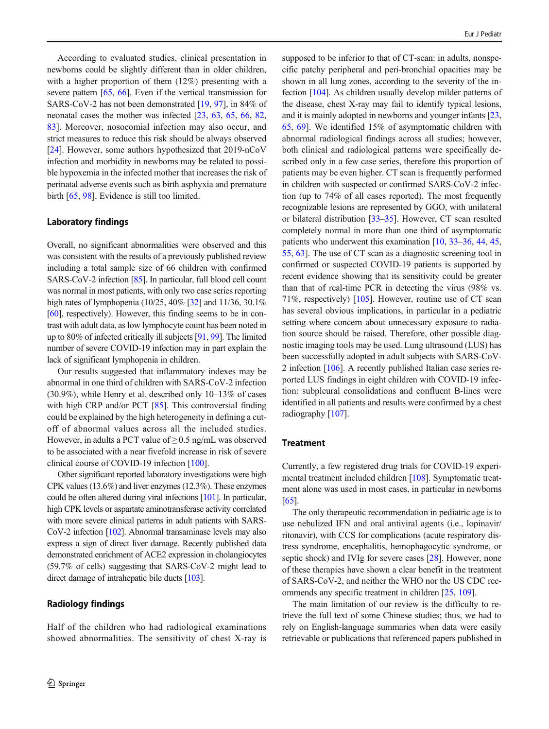According to evaluated studies, clinical presentation in newborns could be slightly different than in older children, with a higher proportion of them (12%) presenting with a severe pattern [\[65,](#page-15-0) [66](#page-15-0)]. Even if the vertical transmission for SARS-CoV-2 has not been demonstrated [\[19](#page-14-0), [97](#page-16-0)], in 84% of neonatal cases the mother was infected [[23,](#page-14-0) [63](#page-15-0), [65](#page-15-0), [66,](#page-15-0) [82,](#page-16-0) [83](#page-16-0)]. Moreover, nosocomial infection may also occur, and strict measures to reduce this risk should be always observed [\[24\]](#page-14-0). However, some authors hypothesized that 2019-nCoV infection and morbidity in newborns may be related to possible hypoxemia in the infected mother that increases the risk of perinatal adverse events such as birth asphyxia and premature birth [\[65,](#page-15-0) [98\]](#page-16-0). Evidence is still too limited.

#### Laboratory findings

Overall, no significant abnormalities were observed and this was consistent with the results of a previously published review including a total sample size of 66 children with confirmed SARS-CoV-2 infection [\[85\]](#page-16-0). In particular, full blood cell count was normal in most patients, with only two case series reporting high rates of lymphopenia (10/25, 40% [\[32\]](#page-14-0) and 11/36, 30.1% [\[60\]](#page-15-0), respectively). However, this finding seems to be in contrast with adult data, as low lymphocyte count has been noted in up to 80% of infected critically ill subjects [\[91,](#page-16-0) [99\]](#page-16-0). The limited number of severe COVID-19 infection may in part explain the lack of significant lymphopenia in children.

Our results suggested that inflammatory indexes may be abnormal in one third of children with SARS-CoV-2 infection (30.9%), while Henry et al. described only 10–13% of cases with high CRP and/or PCT [[85](#page-16-0)]. This controversial finding could be explained by the high heterogeneity in defining a cutoff of abnormal values across all the included studies. However, in adults a PCT value of  $\geq$  0.5 ng/mL was observed to be associated with a near fivefold increase in risk of severe clinical course of COVID-19 infection [[100\]](#page-16-0).

Other significant reported laboratory investigations were high CPK values (13.6%) and liver enzymes (12.3%). These enzymes could be often altered during viral infections [\[101](#page-16-0)]. In particular, high CPK levels or aspartate aminotransferase activity correlated with more severe clinical patterns in adult patients with SARS-CoV-2 infection [[102\]](#page-16-0). Abnormal transaminase levels may also express a sign of direct liver damage. Recently published data demonstrated enrichment of ACE2 expression in cholangiocytes (59.7% of cells) suggesting that SARS-CoV-2 might lead to direct damage of intrahepatic bile ducts [\[103](#page-16-0)].

#### Radiology findings

Half of the children who had radiological examinations showed abnormalities. The sensitivity of chest X-ray is

supposed to be inferior to that of CT-scan: in adults, nonspecific patchy peripheral and peri-bronchial opacities may be shown in all lung zones, according to the severity of the infection [[104\]](#page-16-0). As children usually develop milder patterns of the disease, chest X-ray may fail to identify typical lesions, and it is mainly adopted in newborns and younger infants [\[23,](#page-14-0) [65](#page-15-0), [69\]](#page-15-0). We identified 15% of asymptomatic children with abnormal radiological findings across all studies; however, both clinical and radiological patterns were specifically described only in a few case series, therefore this proportion of patients may be even higher. CT scan is frequently performed in children with suspected or confirmed SARS-CoV-2 infection (up to 74% of all cases reported). The most frequently recognizable lesions are represented by GGO, with unilateral or bilateral distribution [[33](#page-14-0)–[35](#page-14-0)]. However, CT scan resulted completely normal in more than one third of asymptomatic patients who underwent this examination [\[10](#page-13-0), [33](#page-14-0)–[36,](#page-14-0) [44,](#page-14-0) [45,](#page-14-0) [55,](#page-15-0) [63\]](#page-15-0). The use of CT scan as a diagnostic screening tool in confirmed or suspected COVID-19 patients is supported by recent evidence showing that its sensitivity could be greater than that of real-time PCR in detecting the virus (98% vs. 71%, respectively) [\[105](#page-16-0)]. However, routine use of CT scan has several obvious implications, in particular in a pediatric setting where concern about unnecessary exposure to radiation source should be raised. Therefore, other possible diagnostic imaging tools may be used. Lung ultrasound (LUS) has been successfully adopted in adult subjects with SARS-CoV-2 infection [\[106\]](#page-16-0). A recently published Italian case series reported LUS findings in eight children with COVID-19 infection: subpleural consolidations and confluent B-lines were identified in all patients and results were confirmed by a chest radiography [[107](#page-17-0)].

## **Treatment**

Currently, a few registered drug trials for COVID-19 experimental treatment included children [\[108\]](#page-17-0). Symptomatic treatment alone was used in most cases, in particular in newborns [\[65](#page-15-0)].

The only therapeutic recommendation in pediatric age is to use nebulized IFN and oral antiviral agents (i.e., lopinavir/ ritonavir), with CCS for complications (acute respiratory distress syndrome, encephalitis, hemophagocytic syndrome, or septic shock) and IVIg for severe cases [\[28\]](#page-14-0). However, none of these therapies have shown a clear benefit in the treatment of SARS-CoV-2, and neither the WHO nor the US CDC recommends any specific treatment in children [\[25](#page-14-0), [109\]](#page-17-0).

The main limitation of our review is the difficulty to retrieve the full text of some Chinese studies; thus, we had to rely on English-language summaries when data were easily retrievable or publications that referenced papers published in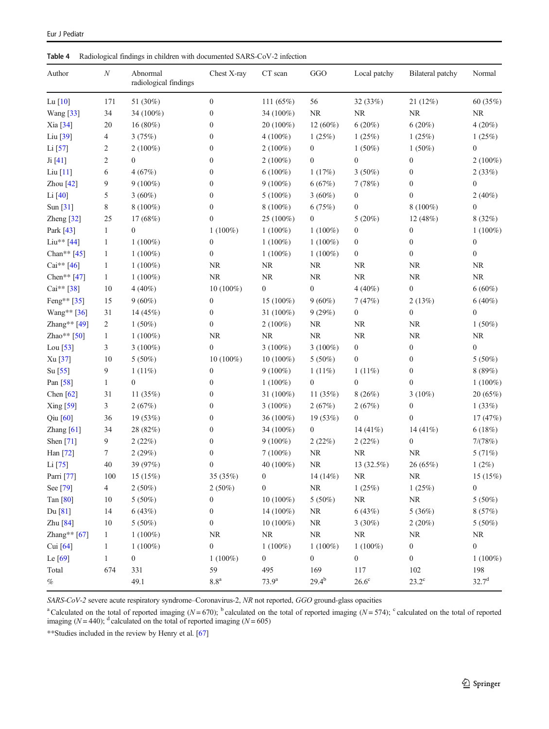| Author                | $\cal N$       | Abnormal<br>radiological findings | Chest X-ray      | CT scan          | GGO              | Local patchy     | Bilateral patchy | Normal           |
|-----------------------|----------------|-----------------------------------|------------------|------------------|------------------|------------------|------------------|------------------|
| Lu $[10]$             | 171            | 51 (30%)                          | $\boldsymbol{0}$ | 111 $(65%)$      | 56               | 32 (33%)         | 21 (12%)         | 60 (35%)         |
| <b>Wang</b> [33]      | 34             | 34 (100%)                         | $\boldsymbol{0}$ | 34 (100%)        | <b>NR</b>        | NR               | $\rm NR$         | $\rm NR$         |
| Xia [34]              | 20             | $16(80\%)$                        | $\boldsymbol{0}$ | $20(100\%)$      | 12 (60%)         | 6(20%)           | 6(20%)           | $4(20\%)$        |
| Liu <sup>[39]</sup>   | 4              | 3(75%)                            | $\boldsymbol{0}$ | $4(100\%)$       | 1(25%)           | 1(25%)           | 1(25%)           | 1(25%)           |
| Li [57]               | 2              | $2(100\%)$                        | $\boldsymbol{0}$ | $2(100\%)$       | $\boldsymbol{0}$ | $1(50\%)$        | $1(50\%)$        | $\mathbf{0}$     |
| Ji $[41]$             | $\overline{c}$ | $\boldsymbol{0}$                  | $\boldsymbol{0}$ | $2(100\%)$       | $\boldsymbol{0}$ | $\boldsymbol{0}$ | $\boldsymbol{0}$ | $2(100\%)$       |
| Liu [11]              | 6              | 4(67%)                            | $\boldsymbol{0}$ | $6(100\%)$       | 1(17%)           | $3(50\%)$        | $\boldsymbol{0}$ | 2(33%)           |
| Zhou $[42]$           | 9              | $9(100\%)$                        | $\boldsymbol{0}$ | $9(100\%)$       | 6(67%)           | 7(78%)           | $\boldsymbol{0}$ | $\boldsymbol{0}$ |
| Li [40]               | 5              | $3(60\%)$                         | $\boldsymbol{0}$ | $5(100\%)$       | $3(60\%)$        | $\boldsymbol{0}$ | $\boldsymbol{0}$ | $2(40\%)$        |
| Sun [31]              | 8              | $8(100\%)$                        | $\boldsymbol{0}$ | $8(100\%)$       | 6(75%)           | $\boldsymbol{0}$ | 8 (100%)         | $\mathbf{0}$     |
| Zheng $[32]$          | 25             | 17 (68%)                          | $\boldsymbol{0}$ | 25 (100%)        | $\boldsymbol{0}$ | 5(20%)           | 12 (48%)         | 8(32%)           |
| Park [43]             | 1              | $\boldsymbol{0}$                  | $1(100\%)$       | $1(100\%)$       | $1(100\%)$       | $\boldsymbol{0}$ | $\boldsymbol{0}$ | $1(100\%)$       |
| Liu** [44]            | 1              | $1(100\%)$                        | $\boldsymbol{0}$ | $1(100\%)$       | $1(100\%)$       | $\boldsymbol{0}$ | $\boldsymbol{0}$ | $\boldsymbol{0}$ |
| Chan** $[45]$         | 1              | $1(100\%)$                        | $\boldsymbol{0}$ | $1(100\%)$       | $1(100\%)$       | $\boldsymbol{0}$ | $\boldsymbol{0}$ | $\boldsymbol{0}$ |
| Cai** [46]            | 1              | $1(100\%)$                        | <b>NR</b>        | <b>NR</b>        | <b>NR</b>        | <b>NR</b>        | <b>NR</b>        | <b>NR</b>        |
| Chen** $[47]$         | 1              | $1(100\%)$                        | $\rm NR$         | $\rm NR$         | $\rm NR$         | <b>NR</b>        | <b>NR</b>        | $\rm NR$         |
| Cai** [38]            | 10             | $4(40\%)$                         | $10(100\%)$      | $\boldsymbol{0}$ | $\boldsymbol{0}$ | $4(40\%)$        | $\boldsymbol{0}$ | $6(60\%)$        |
| Feng** [35]           | 15             | $9(60\%)$                         | $\boldsymbol{0}$ | 15 (100%)        | $9(60\%)$        | 7(47%)           | 2(13%)           | $6(40\%)$        |
| Wang** $[36]$         | 31             | 14 (45%)                          | $\boldsymbol{0}$ | 31 (100%)        | 9(29%)           | $\boldsymbol{0}$ | $\boldsymbol{0}$ | $\mathbf{0}$     |
| Zhang** [49]          | 2              | $1(50\%)$                         | $\boldsymbol{0}$ | $2(100\%)$       | $\rm NR$         | <b>NR</b>        | <b>NR</b>        | $1(50\%)$        |
| Zhao** [50]           | 1              | $1(100\%)$                        | $\rm NR$         | $\rm NR$         | $\rm NR$         | $\rm NR$         | $\rm NR$         | $\rm NR$         |
| Lou $[53]$            | 3              | $3(100\%)$                        | $\boldsymbol{0}$ | $3(100\%)$       | $3(100\%)$       | $\boldsymbol{0}$ | $\boldsymbol{0}$ | $\mathbf{0}$     |
| Xu [37]               | 10             | $5(50\%)$                         | $10(100\%)$      | $10(100\%)$      | $5(50\%)$        | $\boldsymbol{0}$ | $\boldsymbol{0}$ | $5(50\%)$        |
| Su [55]               | 9              | 1(11%)                            | $\boldsymbol{0}$ | $9(100\%)$       | 1(11%)           | 1(11%)           | $\boldsymbol{0}$ | 8(89%)           |
| Pan [58]              | $\mathbf{1}$   | $\boldsymbol{0}$                  | $\boldsymbol{0}$ | $1(100\%)$       | $\mathbf{0}$     | $\mathbf{0}$     | $\boldsymbol{0}$ | $1(100\%)$       |
| Chen $[62]$           | 31             | 11 $(35%)$                        | 0                | 31 (100%)        | 11 (35%)         | 8(26%)           | $3(10\%)$        | 20(65%)          |
| Xing [59]             | 3              | 2(67%)                            | 0                | $3(100\%)$       | 2(67%)           | 2(67%)           | $\boldsymbol{0}$ | 1(33%)           |
| Qiu [60]              | 36             | 19 (53%)                          | 0                | 36 (100%)        | 19 (53%)         | $\boldsymbol{0}$ | $\mathbf{0}$     | 17 (47%)         |
| Zhang <sup>[61]</sup> | 34             | 28 (82%)                          | 0                | 34 (100%)        | $\boldsymbol{0}$ | 14 (41%)         | 14 $(41\%)$      | 6(18%)           |
| Shen [71]             | 9              | 2(22%)                            | $\boldsymbol{0}$ | $9(100\%)$       | 2(22%)           | 2(22%)           | $\boldsymbol{0}$ | 7/(78%)          |
| Han [72]              | 7              | 2(29%)                            | $\boldsymbol{0}$ | $7(100\%)$       | <b>NR</b>        | <b>NR</b>        | <b>NR</b>        | 5(71%)           |
| Li [75]               | 40             | 39 (97%)                          | $\boldsymbol{0}$ | 40 (100%)        | $\rm NR$         | 13 (32.5%)       | 26 (65%)         | $1(2\%)$         |
| Parri [77]            | 100            | 15 (15%)                          | 35 (35%)         | $\boldsymbol{0}$ | 14 (14%)         | $\rm NR$         | $\rm NR$         | 15 (15%)         |
| See [79]              | 4              | $2(50\%)$                         | $2(50\%)$        | $\boldsymbol{0}$ | $\rm NR$         | 1(25%)           | 1(25%)           | $\boldsymbol{0}$ |
| Tan [80]              | 10             | $5(50\%)$                         | $\boldsymbol{0}$ | $10(100\%)$      | $5(50\%)$        | $\rm NR$         | $\rm NR$         | $5(50\%)$        |
| Du [81]               | 14             | 6(43%)                            | 0                | 14 (100%)        | $\rm NR$         | 6(43%)           | 5(36%)           | 8 (57%)          |
| Zhu [84]              | 10             | $5(50\%)$                         | $\boldsymbol{0}$ | $10(100\%)$      | <b>NR</b>        | 3(30%)           | 2(20%)           | $5(50\%)$        |
| Zhang** $[67]$        | 1              | $1(100\%)$                        | <b>NR</b>        | $\rm NR$         | $\rm NR$         | $\rm NR$         | $\rm NR$         | <b>NR</b>        |
| Cui [64]              | 1              | $1(100\%)$                        | $\boldsymbol{0}$ | $1(100\%)$       | $1(100\%)$       | $1(100\%)$       | $\boldsymbol{0}$ | $\boldsymbol{0}$ |
| Le [69]               | 1              | $\boldsymbol{0}$                  | $1(100\%)$       | $\boldsymbol{0}$ | $\boldsymbol{0}$ | $\boldsymbol{0}$ | $\boldsymbol{0}$ | $1(100\%)$       |
| Total                 | 674            | 331                               | 59               | 495              | 169              | 117              | 102              | 198              |
| $\%$                  |                | 49.1                              | $8.8^a$          | $73.9^{a}$       | $29.4^{b}$       | $26.6^{\circ}$   | $23.2^{\circ}$   | $32.7^d$         |

<span id="page-10-0"></span>Table 4 Radiological findings in children with documented SARS-CoV-2 infection

SARS-CoV-2 severe acute respiratory syndrome–Coronavirus-2, NR not reported, GGO ground-glass opacities

<sup>a</sup> Calculated on the total of reported imaging ( $N = 670$ ); <sup>b</sup> calculated on the total of reported imaging ( $N = 574$ ); <sup>c</sup> calculated on the total of reported imaging ( $N = 440$ ); <sup>d</sup> calculated on the total of reported imaging ( $N = 605$ )

\*\*Studies included in the review by Henry et al. [\[67\]](#page-15-0)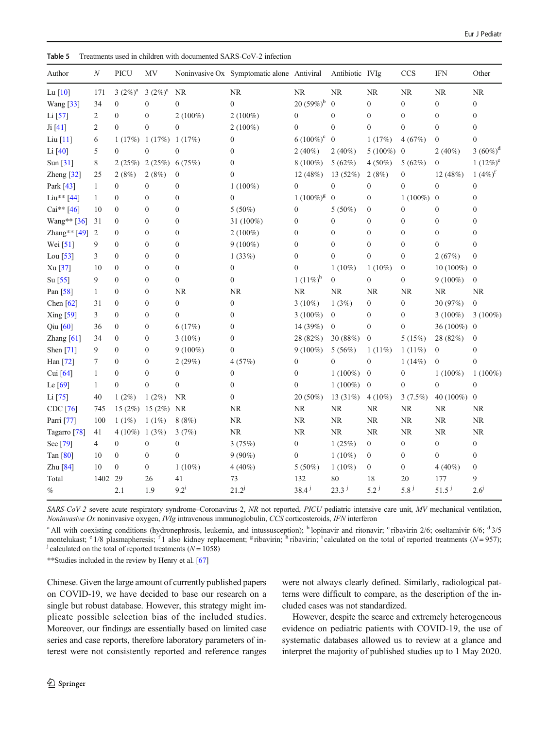| Author                  | $\boldsymbol{N}$ | PICU             | MV                         |                  | Noninvasive Ox Symptomatic alone Antiviral |                | Antibiotic IVIg   |                  | CCS              | <b>IFN</b>        | Other            |
|-------------------------|------------------|------------------|----------------------------|------------------|--------------------------------------------|----------------|-------------------|------------------|------------------|-------------------|------------------|
| Lu $[10]$               | 171              | $3 (2\%)^a$      | $3(2\%)^a$                 | <b>NR</b>        | <b>NR</b>                                  | <b>NR</b>      | <b>NR</b>         | <b>NR</b>        | <b>NR</b>        | <b>NR</b>         | <b>NR</b>        |
| <b>Wang</b> [33]        | 34               | $\boldsymbol{0}$ | $\boldsymbol{0}$           | $\boldsymbol{0}$ | $\boldsymbol{0}$                           | $20(59%)^b$    | $\boldsymbol{0}$  | $\boldsymbol{0}$ | $\boldsymbol{0}$ | 0                 | $\boldsymbol{0}$ |
| Li [57]                 | 2                | $\mathbf{0}$     | $\boldsymbol{0}$           | $2(100\%)$       | $2(100\%)$                                 | $\overline{0}$ | $\mathbf{0}$      | $\mathbf{0}$     | $\mathbf{0}$     | $\boldsymbol{0}$  | $\boldsymbol{0}$ |
| Ji [41]                 | $\overline{2}$   | $\mathbf{0}$     | $\overline{0}$             | $\mathbf{0}$     | $2(100\%)$                                 | $\overline{0}$ | $\mathbf{0}$      | $\mathbf{0}$     | $\boldsymbol{0}$ | $\boldsymbol{0}$  | $\boldsymbol{0}$ |
| Liu $[11]$              | 6                |                  | $1(17%)$ $1(17%)$ $1(17%)$ |                  | $\boldsymbol{0}$                           | 6 $(100\%)^c$  | $\boldsymbol{0}$  | 1(17%)           | 4(67%)           | $\boldsymbol{0}$  | $\boldsymbol{0}$ |
| Li [40]                 | 5                | $\mathbf{0}$     | $\overline{0}$             | $\mathbf{0}$     | $\boldsymbol{0}$                           | $2(40\%)$      | $2(40\%)$         | $5(100\%)$       | $\mathbf{0}$     | $2(40\%)$         | 3 $(60\%)^d$     |
| Sun [31]                | 8                |                  | $2(25%)$ $2(25%)$ 6(75%)   |                  | $\boldsymbol{0}$                           | 8 (100%)       | 5(62%)            | $4(50\%)$        | 5(62%)           | $\boldsymbol{0}$  | 1 $(12\%)^e$     |
| Zheng $[32]$            | 25               | 2(8%)            | 2(8%)                      | $\mathbf{0}$     | $\theta$                                   | 12(48%)        | 13(52%)           | 2(8%)            | $\mathbf{0}$     | 12(48%)           | 1 $(4\%)^f$      |
| Park [43]               | $\mathbf{1}$     | $\boldsymbol{0}$ | $\boldsymbol{0}$           | $\boldsymbol{0}$ | $1(100\%)$                                 | $\overline{0}$ | $\boldsymbol{0}$  | $\boldsymbol{0}$ | $\mathbf{0}$     | $\mathbf{0}$      | $\boldsymbol{0}$ |
| Liu** [44]              | $\mathbf{1}$     | $\boldsymbol{0}$ | $\boldsymbol{0}$           | $\boldsymbol{0}$ | $\boldsymbol{0}$                           | $1(100\%)^g$   | $\overline{0}$    | $\boldsymbol{0}$ | $1(100\%)$       | $\boldsymbol{0}$  | $\boldsymbol{0}$ |
| Cai** $[46]$            | 10               | $\mathbf{0}$     | $\mathbf{0}$               | $\mathbf{0}$     | $5(50\%)$                                  | $\mathbf{0}$   | $5(50\%)$         | $\mathbf{0}$     | $\mathbf{0}$     | $\mathbf{0}$      | $\mathbf{0}$     |
| Wang** [36]             | 31               | $\mathbf{0}$     | $\mathbf{0}$               | $\mathbf{0}$     | 31 (100%)                                  | $\mathbf{0}$   | $\mathbf{0}$      | $\mathbf{0}$     | $\boldsymbol{0}$ | $\boldsymbol{0}$  | $\boldsymbol{0}$ |
| Zhang** $[49]$          | $\overline{c}$   | $\theta$         | $\mathbf{0}$               | $\theta$         | $2(100\%)$                                 | $\mathbf{0}$   | $\theta$          | $\mathbf{0}$     | $\mathbf{0}$     | $\mathbf{0}$      | $\mathbf{0}$     |
| Wei [51]                | 9                | $\mathbf{0}$     | $\mathbf{0}$               | $\mathbf{0}$     | $9(100\%)$                                 | $\mathbf{0}$   | $\mathbf{0}$      | $\mathbf{0}$     | $\mathbf{0}$     | $\mathbf{0}$      | $\boldsymbol{0}$ |
| Lou $[53]$              | 3                | $\mathbf{0}$     | $\boldsymbol{0}$           | $\mathbf{0}$     | 1(33%)                                     | $\mathbf{0}$   | $\mathbf{0}$      | $\mathbf{0}$     | $\boldsymbol{0}$ | 2(67%)            | $\boldsymbol{0}$ |
| Xu [37]                 | 10               | $\mathbf{0}$     | $\overline{0}$             | $\mathbf{0}$     | $\mathbf{0}$                               | $\theta$       | $1(10\%)$         | $1(10\%)$        | $\boldsymbol{0}$ | $10(100\%)$       | $\overline{0}$   |
| Su [55]                 | 9                | $\mathbf{0}$     | $\mathbf{0}$               | $\mathbf{0}$     | $\mathbf{0}$                               | $1(11\%)^h$    | $\mathbf{0}$      | $\mathbf{0}$     | $\mathbf{0}$     | $9(100\%)$        | $\boldsymbol{0}$ |
| Pan [58]                | $\mathbf{1}$     | $\boldsymbol{0}$ | $\boldsymbol{0}$           | NR.              | NR                                         | $\rm NR$       | <b>NR</b>         | NR.              | NR.              | NR.               | NR.              |
| Chen $[62]$             | 31               | $\mathbf{0}$     | $\mathbf{0}$               | $\mathbf{0}$     | $\boldsymbol{0}$                           | $3(10\%)$      | 1(3%)             | $\mathbf{0}$     | $\mathbf{0}$     | 30 (97%)          | $\boldsymbol{0}$ |
| Xing [59]               | 3                | $\mathbf{0}$     | $\boldsymbol{0}$           | $\mathbf{0}$     | $\boldsymbol{0}$                           | $3(100\%)$     | $\boldsymbol{0}$  | $\mathbf{0}$     | $\boldsymbol{0}$ | $3(100\%)$        | $3(100\%)$       |
| Qiu [60]                | 36               | $\mathbf{0}$     | $\mathbf{0}$               | 6(17%)           | $\theta$                                   | 14 (39%)       | $\theta$          | $\mathbf{0}$     | $\mathbf{0}$     | $36(100\%)$ 0     |                  |
| Zhang $[61]$            | 34               | $\mathbf{0}$     | $\mathbf{0}$               | $3(10\%)$        | $\boldsymbol{0}$                           | 28 (82%)       | 30 (88%)          | $\mathbf{0}$     | 5(15%)           | 28 (82%)          | $\boldsymbol{0}$ |
| Shen [71]               | 9                | $\boldsymbol{0}$ | $\boldsymbol{0}$           | $9(100\%)$       | $\boldsymbol{0}$                           | $9(100\%)$     | 5(56%)            | $1(11\%)$        | $1(11\%)$        | $\boldsymbol{0}$  | $\boldsymbol{0}$ |
| Han [72]                | $\tau$           | $\mathbf{0}$     | $\mathbf{0}$               | 2(29%)           | 4(57%)                                     | $\overline{0}$ | $\overline{0}$    | $\mathbf{0}$     | 1(14%)           | $\theta$          | $\boldsymbol{0}$ |
| Cui [64]                | $\mathbf{1}$     | $\mathbf{0}$     | $\mathbf{0}$               | $\mathbf{0}$     | $\boldsymbol{0}$                           | $\mathbf{0}$   | $1(100\%)$        | $\boldsymbol{0}$ | $\boldsymbol{0}$ | $1(100\%)$        | $1(100\%)$       |
| Le [69]                 | 1                | $\mathbf{0}$     | $\mathbf{0}$               | $\theta$         | $\mathbf{0}$                               | $\theta$       | $1(100\%)$        | $\mathbf{0}$     | $\mathbf{0}$     | 0                 | $\mathbf{0}$     |
| Li [75]                 | 40               | $1(2\%)$         | $1(2\%)$                   | <b>NR</b>        | $\mathbf{0}$                               | 20 (50%)       | 13 (31%)          | $4(10\%)$        | $3(7.5\%)$       | 40 (100%)         | $\boldsymbol{0}$ |
| CDC [76]                | 745              | 15(2%)           | 15(2%)                     | <b>NR</b>        | NR.                                        | <b>NR</b>      | $\rm NR$          | NR.              | <b>NR</b>        | <b>NR</b>         | NR.              |
| Parri [77]              | 100              | 1(1%)            | 1(1%)                      | 8(8%)            | <b>NR</b>                                  | <b>NR</b>      | <b>NR</b>         | <b>NR</b>        | <b>NR</b>        | <b>NR</b>         | <b>NR</b>        |
| Tagarro <sup>[78]</sup> | 41               | $4(10\%)$        | 1(3%)                      | 3(7%)            | <b>NR</b>                                  | <b>NR</b>      | <b>NR</b>         | <b>NR</b>        | <b>NR</b>        | <b>NR</b>         | <b>NR</b>        |
| See [79]                | 4                | $\mathbf{0}$     | $\boldsymbol{0}$           | $\mathbf{0}$     | 3(75%)                                     | $\overline{0}$ | 1(25%)            | $\mathbf{0}$     | $\mathbf{0}$     | 0                 | $\boldsymbol{0}$ |
| Tan $[80]$              | 10               | $\mathbf{0}$     | $\mathbf{0}$               | $\mathbf{0}$     | $9(90\%)$                                  | $\overline{0}$ | $1(10\%)$         | $\mathbf{0}$     | $\mathbf{0}$     | $\overline{0}$    | $\boldsymbol{0}$ |
| Zhu [84]                | 10               | $\boldsymbol{0}$ | $\boldsymbol{0}$           | $1(10\%)$        | $4(40\%)$                                  | 5(50%)         | $1(10\%)$         | $\boldsymbol{0}$ | $\boldsymbol{0}$ | $4(40\%)$         | $\boldsymbol{0}$ |
| Total                   | 1402             | 29               | 26                         | 41               | 73                                         | 132            | 80                | 18               | 20               | 177               | 9                |
| $\%$                    |                  | 2.1              | 1.9                        | $9.2^{i}$        | $21.2^{j}$                                 | $38.4^{j}$     | $23.3^{\text{j}}$ | $5.2^{\text{j}}$ | $5.8^{\text{j}}$ | $51.5^{\text{j}}$ | $2.6^{j}$        |

<span id="page-11-0"></span>Table 5 Treatments used in children with documented SARS-CoV-2 infection

SARS-CoV-2 severe acute respiratory syndrome–Coronavirus-2, NR not reported, PICU pediatric intensive care unit, MV mechanical ventilation, Noninvasive Ox noninvasive oxygen, IVIg intravenous immunoglobulin, CCS corticosteroids, IFN interferon

<sup>a</sup> All with coexisting conditions (hydronephrosis, leukemia, and intussusception); <sup>b</sup> lopinavir and ritonavir; <sup>c</sup> ribavirin 2/6; oseltamivir 6/6; <sup>d</sup> 3/5 montelukast; <sup>e</sup> 1/8 plasmapheresis; <sup>f</sup> 1 also kidney replacement; <sup>g</sup> ribavirin; <sup>h</sup> ribavirin; <sup>i</sup> calculated on the total of reported treatments (N = 957); <sup>j</sup> calculated on the total of reported treatments ( $N = 1058$ )

\*\*Studies included in the review by Henry et al. [\[67\]](#page-15-0)

Chinese. Given the large amount of currently published papers on COVID-19, we have decided to base our research on a single but robust database. However, this strategy might implicate possible selection bias of the included studies. Moreover, our findings are essentially based on limited case series and case reports, therefore laboratory parameters of interest were not consistently reported and reference ranges were not always clearly defined. Similarly, radiological patterns were difficult to compare, as the description of the included cases was not standardized.

However, despite the scarce and extremely heterogeneous evidence on pediatric patients with COVID-19, the use of systematic databases allowed us to review at a glance and interpret the majority of published studies up to 1 May 2020.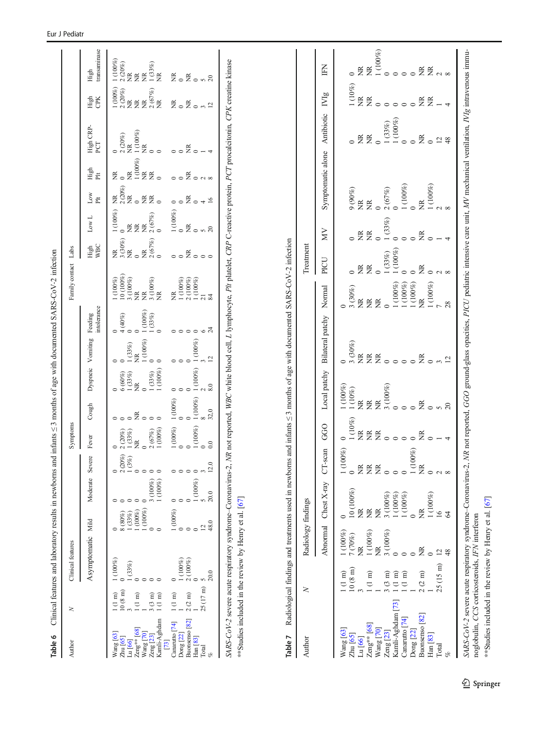| Table 6                                                                                                |                                                                               | Clinical features and laboratory results in newborns and infants $\leq 3$ months of age with documented SARS-CoV-2 infection                                                    |                                                                               |                                                              |                                                                             |                                                                                                    |                                                   |                                                                         |                                                                                                  |                                     |                                                                                                        |                                                                                        |                                                                                                                          |                                                                   |                                                            |                                                                                                                                    |                                                                                                                                                                                                                                                                                                                      |                                                                                                                    |
|--------------------------------------------------------------------------------------------------------|-------------------------------------------------------------------------------|---------------------------------------------------------------------------------------------------------------------------------------------------------------------------------|-------------------------------------------------------------------------------|--------------------------------------------------------------|-----------------------------------------------------------------------------|----------------------------------------------------------------------------------------------------|---------------------------------------------------|-------------------------------------------------------------------------|--------------------------------------------------------------------------------------------------|-------------------------------------|--------------------------------------------------------------------------------------------------------|----------------------------------------------------------------------------------------|--------------------------------------------------------------------------------------------------------------------------|-------------------------------------------------------------------|------------------------------------------------------------|------------------------------------------------------------------------------------------------------------------------------------|----------------------------------------------------------------------------------------------------------------------------------------------------------------------------------------------------------------------------------------------------------------------------------------------------------------------|--------------------------------------------------------------------------------------------------------------------|
| Author                                                                                                 | z                                                                             | Clinical features                                                                                                                                                               |                                                                               |                                                              |                                                                             | Symptoms                                                                                           |                                                   |                                                                         |                                                                                                  |                                     |                                                                                                        | Family contact Labs                                                                    |                                                                                                                          |                                                                   |                                                            |                                                                                                                                    |                                                                                                                                                                                                                                                                                                                      |                                                                                                                    |
|                                                                                                        |                                                                               | Asymptomatic                                                                                                                                                                    | Mild                                                                          | Moderate                                                     | Severe                                                                      | Fever                                                                                              | Cough                                             | Dyspneic                                                                | Vomiting                                                                                         | intolerance<br>Feeding              |                                                                                                        | High<br>WBC                                                                            | Low $L$                                                                                                                  | $\frac{8}{2}$                                                     | High<br>Plt                                                | High CRP-<br>PCT                                                                                                                   | High<br>CPK                                                                                                                                                                                                                                                                                                          | transaminase<br>High                                                                                               |
| Zeng [23]<br>Kamli-Aghdam<br>Zeng** [68]<br>Wang [70]<br>Wang [63]<br>Zhu [65]<br>Lu [66]              | $(0.8 \text{ m})$<br>1(1 m)<br>$1(1 \text{ m})$<br>$3(3 \text{ m})$<br>1(1 m) | $1(100\%)$<br>$(33\%)$<br>$\circ$<br>$\subset$<br>$\subset$                                                                                                                     | 1(100%)<br>1 (100%)<br>$8~(80\%)$<br>1(33%)<br>$\circ$<br>$\circ$<br>$\circ$  | 3 (100%)<br>1(100%)<br>$\circ$ $\circ$<br>$\circ$<br>$\circ$ | $\frac{0}{2}$ (20%)<br>$1(3\%)$<br>$\circ$<br>$\circ$<br>$\circ$<br>$\circ$ | $1\ (100\%)$<br>$2\ (67\%)$<br>$1\ (33\%)$<br>$\frac{0}{2} (20\%)$<br>$\widetilde{\Xi}$<br>$\circ$ | ž<br>$\circ$<br>$\circ$<br>$\circ$<br>$\circ$     | 1(100%)<br>1(33%)<br>6(60%)<br>$1(33%)$<br>$\widetilde{\Xi}$<br>$\circ$ | $\circ$<br>$\circ$<br>$\circ$<br>$1(100\%)$<br>1(33%)<br>$\widetilde{\Xi}$<br>$\circ$<br>$\circ$ | 1(100%)<br>1(33%)<br>$0$<br>4 (40%) | $1(100%)$<br>$10(100%)$<br>3(100%)<br>$3~(100\%)$ NR<br>$\widetilde{\Xi}$<br>$\widetilde{\Xi}$         | $_0^{2\ (67\%)}$<br>NR<br>3 (30%)<br>$\widetilde{\Xi}$<br>$\widetilde{\Xi}$<br>$\circ$ | 1(100%)<br>$\begin{array}{c} 2 \ (67\%) \\ 0 \end{array}$<br>$\widetilde{\Xi}$<br>$\widetilde{\Xi}$<br>$\widetilde{\Xi}$ | NR $_{2\ (20\%)}$<br>$\widetilde{\Xi}$<br>$\widetilde{\Xi}$<br>Ĕ. | 1(100%)<br>ž<br><b>登兰</b><br>ž.<br>$\circ$                 | 1(100%)<br>$\frac{0}{2(20\%)}$<br>$\widetilde{\Xi}$<br>Ĕ<br>$\circ$                                                                | $\begin{array}{l} \tilde{\mathbf{H}} \\ \tilde{\mathbf{H}} \\ \tilde{\mathbf{H}} \\ \tilde{\mathbf{H}} \\ \tilde{\mathbf{H}} \\ \tilde{\mathbf{H}} \\ \tilde{\mathbf{H}} \\ \tilde{\mathbf{H}} \\ \tilde{\mathbf{H}} \\ \tilde{\mathbf{H}} \\ \tilde{\mathbf{H}} \\ \end{array}$<br>$\frac{1\, (100\%)}{2\, (20\%)}$ | $\frac{1}{2}\frac{(100\%)}{(20\%)}$<br>$1\,(33\%)$ NR<br>$\widetilde{\Xi} \, \widetilde{\Xi}$<br>$\widetilde{\Xi}$ |
| Buonsenso <sup>[82]</sup><br>Canarutto <sup>[74]</sup><br>Dong [22]<br>Han [83]<br>[73]<br>Total<br>of | 25 (17 m)<br>$2(2m)$<br>$1~(1~{\rm m})$                                       | 1(100%)<br>2(100%)<br>$\frac{5}{20.0}$<br>$\circ$                                                                                                                               | $1\ (100\%)$<br>48.0<br>$\overline{\mathbf{C}}$<br>$\circ$ $\circ$<br>$\circ$ | 1(100%<br>50.0<br>$\circ$<br>$\circ$                         | 12.0<br>$\circ$ $\circ$<br>$\circ$<br>$\circ$                               | $\begin{array}{c} 1\,(100\%) \\ 0 \end{array}$<br>$1\, (100\%)$<br>0.0<br>$\circ$                  | $1\ (100\%)$<br>$1\, (100\%)$<br>32,0<br>$\circ$  | $1~(100\%)$<br>8.0<br>$\circ$<br>$\circ$                                | $\frac{1}{3}$ (100%)<br>$\overline{2}$<br>$\circ$<br>$\circ$                                     | 0000007                             | $\begin{array}{l} 2\,(100\%) \\ 1\,(100\%) \\ 21 \\ 84 \\ \end{array}$<br>1(100%)<br>$\widetilde{\Xi}$ | $\circ$ $\frac{1}{2}$ $\circ$ $\circ$                                                  | 1(100%)<br>$E \circ R$<br>$\circ$                                                                                        | $\widetilde{\Xi}$<br>$\overline{16}$<br>$\circ$ +<br>$\circ$      | $\circ$ $\circ$<br>Ĕ<br>$\circ$ $\sim$ $\infty$<br>$\circ$ | ž<br>$\circ$ - $\circ$                                                                                                             | $E \circ n2$<br>$\widetilde{\Xi}$ o                                                                                                                                                                                                                                                                                  | $E \circ E \circ \eta$                                                                                             |
| Table 7                                                                                                |                                                                               | SARS-CoV-2 severe acute respiratory syndrome-Coronavirus-2, N<br>Radiological findings and treatments used in newborns<br>**Studies included in the review by Henry et al. [67] |                                                                               |                                                              |                                                                             |                                                                                                    |                                                   |                                                                         | and infants $\leq$ 3 months of age with documented SARS-CoV-2 infection                          |                                     |                                                                                                        |                                                                                        |                                                                                                                          |                                                                   |                                                            | R not reported, WBC white blood cell, L lymphocyte, Plt platelet, CRP C-reactive protein, PCT procalcitonin, CPK creatine kinase   |                                                                                                                                                                                                                                                                                                                      |                                                                                                                    |
| Author                                                                                                 | z                                                                             |                                                                                                                                                                                 | Radiology findings                                                            |                                                              |                                                                             |                                                                                                    |                                                   |                                                                         |                                                                                                  |                                     |                                                                                                        | Treatment                                                                              |                                                                                                                          |                                                                   |                                                            |                                                                                                                                    |                                                                                                                                                                                                                                                                                                                      |                                                                                                                    |
|                                                                                                        |                                                                               | Abnormal                                                                                                                                                                        |                                                                               | Chest X-ray                                                  | CT-scan                                                                     | GGO                                                                                                |                                                   | Local patchy                                                            | Bilateral patchy                                                                                 |                                     | Normal                                                                                                 | PICU                                                                                   | ΧŇ                                                                                                                       |                                                                   | Symptomatic alone                                          | Antibiotic                                                                                                                         | $\rm_{Ny}$                                                                                                                                                                                                                                                                                                           | EN                                                                                                                 |
| $Zeng** [68]$<br>Wang [63]<br>Zhu [65]<br>Lu [66]                                                      | 3                                                                             | $1(100\%)$<br>1(100%)<br>7 (70%)<br>$\widetilde{\Xi}$<br>$10(8 \text{ m})$<br>$1(1 \text{ m})$<br>$1(1 \text{ m})$                                                              | Ĕ<br>Ĕ                                                                        | 10 (100%)                                                    | $1(100\%)$<br>ž<br>Ĕ                                                        | 1(10%)<br>Ĕ<br>$\widetilde{\Xi}$<br>$\circ$                                                        | 1(100%)<br>$1\, (10\%)$<br>ğ<br>$\widetilde{\Xi}$ |                                                                         | 3(30%)<br>Ĕ<br>ž                                                                                 |                                     | 3(30%)<br>$\widetilde{\Xi}$<br>$\widetilde{\Xi}$                                                       | $\widetilde{\Xi}$<br>Ĕ                                                                 | <b>c</b> Ž                                                                                                               | 9(90%)<br>$\widetilde{\Xi}$<br>Ĕ                                  |                                                            | $\widetilde{\Xi}$                                                                                                                  | $1~(10\%)$ NR<br>Ĕ                                                                                                                                                                                                                                                                                                   | Ĕ<br>Ĕ                                                                                                             |
| Wang [70]<br>Zeng <sub>[23]</sub>                                                                      |                                                                               | 3(100%)<br>$\widetilde{\Xi}$<br>$3(3 \text{ m})$                                                                                                                                | E                                                                             | 3 (100%)                                                     | ã<br>$\circ$                                                                | Ĕ                                                                                                  | NR<br>3 (100%)                                    |                                                                         | Ĕ<br>$\circ$ $\circ$                                                                             | $\circ$                             | $\widetilde{\Xi}$                                                                                      | 1(33%)<br>$\circ$                                                                      | 1(33%)<br>$\circ$                                                                                                        | 2(67%)                                                            |                                                            | 1(33%)<br>$\widetilde{\Xi}$                                                                                                        | $\circ$<br>$\circ$                                                                                                                                                                                                                                                                                                   | $1\, (100\%)$                                                                                                      |
| Kamli-Aghdam <sup>[73]</sup><br>Canarutto $[74]$<br>$\text{Long}$ [22]                                 |                                                                               | $\circ$<br>$\circ$<br>$\circ$<br>$(1 \; \mathrm{m})$<br>$(1 \text{ m})$                                                                                                         | $\circ$                                                                       | 1(100%<br>1(100%                                             | $1(100\%)$<br>$\circ$<br>$\circ$                                            | $\circ \circ \circ \circ$                                                                          | $\circ \circ \circ$                               |                                                                         | $\circ$<br>$\circ$                                                                               |                                     | 1(100%)<br>1(100%)<br>$1~(100\%)$                                                                      | 1 (100%)<br>$\circ$<br>⌒                                                               | $\circ$                                                                                                                  | $1(100\%)$<br>$\circ$                                             |                                                            | 1 (100%)<br>$\circ$ $\circ$                                                                                                        | $\circ$<br>$\circ$<br>$\circ$                                                                                                                                                                                                                                                                                        | $\circ$<br>$\circ$<br>$\circ$                                                                                      |
| Buonsenso <sup>[82]</sup><br>Han [83]<br>Total<br>$\mathcal{C}$                                        |                                                                               | ž<br>12<br>48<br>$\circ$<br>25(15 m)<br>$2\ (2\ \mathrm{m})$                                                                                                                    | $\widetilde{\Xi}$<br>$\overline{16}$<br>$\mathcal{R}$                         | 1(100%                                                       | g<br>$\circ$<br>$\sim$<br>$\infty$                                          | ž<br>$\circ$                                                                                       | $\widetilde{\Xi}$<br>50<br>$\circ$                |                                                                         | $E_0$ $\sim$ $n$                                                                                 | 28                                  | 1(100%)<br>$\widetilde{\Xi}$                                                                           | Ž<br>$\circ$<br>$\sim$                                                                 | Ĕ<br>$\circ$                                                                                                             | $1(100\%)$<br>$\widetilde{\Xi}$<br>$\sim$                         |                                                            | $\widetilde{\Xi}$<br>$12$<br>48<br>$\circ$                                                                                         | <b>NE</b><br>$\overline{4}$                                                                                                                                                                                                                                                                                          | <b>NE</b><br>$\sim$                                                                                                |
|                                                                                                        |                                                                               | SARS-CoV-2 severe acute respiratory syndrome-Coronavirus-2,<br>**Studies included in the review by Henry et al. [67]<br>noglobulin, CCS corticosteroids, IFN interferon         |                                                                               |                                                              |                                                                             |                                                                                                    |                                                   |                                                                         |                                                                                                  |                                     |                                                                                                        |                                                                                        |                                                                                                                          |                                                                   |                                                            | NR not reported, GGO ground-glass opacities, PICU pediatric intensive care unit, MV mechanical ventilation, IVIg intravenous immu- |                                                                                                                                                                                                                                                                                                                      |                                                                                                                    |

## <span id="page-12-0"></span>Eur J Pediatr

 $\mathcal{D}$  Springer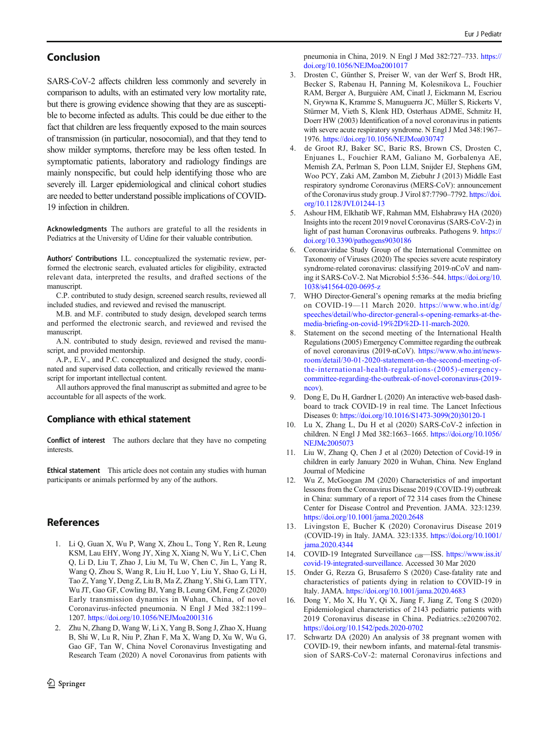# <span id="page-13-0"></span>Conclusion

SARS-CoV-2 affects children less commonly and severely in comparison to adults, with an estimated very low mortality rate, but there is growing evidence showing that they are as susceptible to become infected as adults. This could be due either to the fact that children are less frequently exposed to the main sources of transmission (in particular, nosocomial), and that they tend to show milder symptoms, therefore may be less often tested. In symptomatic patients, laboratory and radiology findings are mainly nonspecific, but could help identifying those who are severely ill. Larger epidemiological and clinical cohort studies are needed to better understand possible implications of COVID-19 infection in children.

Acknowledgments The authors are grateful to all the residents in Pediatrics at the University of Udine for their valuable contribution.

Authors' Contributions I.L. conceptualized the systematic review, performed the electronic search, evaluated articles for eligibility, extracted relevant data, interpreted the results, and drafted sections of the manuscript.

C.P. contributed to study design, screened search results, reviewed all included studies, and reviewed and revised the manuscript.

M.B. and M.F. contributed to study design, developed search terms and performed the electronic search, and reviewed and revised the manuscript.

A.N. contributed to study design, reviewed and revised the manuscript, and provided mentorship.

A.P., E.V., and P.C. conceptualized and designed the study, coordinated and supervised data collection, and critically reviewed the manuscript for important intellectual content.

All authors approved the final manuscript as submitted and agree to be accountable for all aspects of the work.

## Compliance with ethical statement

Conflict of interest The authors declare that they have no competing interests.

Ethical statement This article does not contain any studies with human participants or animals performed by any of the authors.

## References

- 1. Li Q, Guan X, Wu P, Wang X, Zhou L, Tong Y, Ren R, Leung KSM, Lau EHY, Wong JY, Xing X, Xiang N, Wu Y, Li C, Chen Q, Li D, Liu T, Zhao J, Liu M, Tu W, Chen C, Jin L, Yang R, Wang Q, Zhou S, Wang R, Liu H, Luo Y, Liu Y, Shao G, Li H, Tao Z, Yang Y, Deng Z, Liu B, Ma Z, Zhang Y, Shi G, Lam TTY, Wu JT, Gao GF, Cowling BJ, Yang B, Leung GM, Feng Z (2020) Early transmission dynamics in Wuhan, China, of novel Coronavirus-infected pneumonia. N Engl J Med 382:1199– 1207. <https://doi.org/10.1056/NEJMoa2001316>
- 2. Zhu N, Zhang D, Wang W, Li X, Yang B, Song J, Zhao X, Huang B, Shi W, Lu R, Niu P, Zhan F, Ma X, Wang D, Xu W, Wu G, Gao GF, Tan W, China Novel Coronavirus Investigating and Research Team (2020) A novel Coronavirus from patients with

pneumonia in China, 2019. N Engl J Med 382:727–733. [https://](https://doi.org/10.1056/NEJMoa2001017) [doi.org/10.1056/NEJMoa2001017](https://doi.org/10.1056/NEJMoa2001017)

- 3. Drosten C, Günther S, Preiser W, van der Werf S, Brodt HR, Becker S, Rabenau H, Panning M, Kolesnikova L, Fouchier RAM, Berger A, Burguière AM, Cinatl J, Eickmann M, Escriou N, Grywna K, Kramme S, Manuguerra JC, Müller S, Rickerts V, Stürmer M, Vieth S, Klenk HD, Osterhaus ADME, Schmitz H, Doerr HW (2003) Identification of a novel coronavirus in patients with severe acute respiratory syndrome. N Engl J Med 348:1967– 1976. <https://doi.org/10.1056/NEJMoa030747>
- 4. de Groot RJ, Baker SC, Baric RS, Brown CS, Drosten C, Enjuanes L, Fouchier RAM, Galiano M, Gorbalenya AE, Memish ZA, Perlman S, Poon LLM, Snijder EJ, Stephens GM, Woo PCY, Zaki AM, Zambon M, Ziebuhr J (2013) Middle East respiratory syndrome Coronavirus (MERS-CoV): announcement of the Coronavirus study group. J Virol 87:7790–7792. [https://doi.](https://doi.org/10.1128/JVI.01244-13) [org/10.1128/JVI.01244-13](https://doi.org/10.1128/JVI.01244-13)
- 5. Ashour HM, Elkhatib WF, Rahman MM, Elshabrawy HA (2020) Insights into the recent 2019 novel Coronavirus (SARS-CoV-2) in light of past human Coronavirus outbreaks. Pathogens 9. [https://](https://doi.org/10.3390/pathogens9030186) [doi.org/10.3390/pathogens9030186](https://doi.org/10.3390/pathogens9030186)
- 6. Coronaviridae Study Group of the International Committee on Taxonomy of Viruses (2020) The species severe acute respiratory syndrome-related coronavirus: classifying 2019-nCoV and naming it SARS-CoV-2. Nat Microbiol 5:536–544. [https://doi.org/10.](https://doi.org/10.1038/s41564-020-0695-z) [1038/s41564-020-0695-z](https://doi.org/10.1038/s41564-020-0695-z)
- 7. WHO Director-General's opening remarks at the media briefing on COVID-19-11 March 2020. https://www.who.int/dg/ speeches/detail/who-director-general-s-opening-remarks-at-themedia-briefing-on-covid-19%2D%2D-11-march-2020.
- 8. Statement on the second meeting of the International Health Regulations (2005) Emergency Committee regarding the outbreak of novel coronavirus (2019-nCoV). https://www.who.int/newsroom/detail/30-01-2020-statement-on-the-second-meeting-ofthe-international-health-regulations-(2005)-emergencycommittee-regarding-the-outbreak-of-novel-coronavirus-(2019 ncov).
- 9. Dong E, Du H, Gardner L (2020) An interactive web-based dashboard to track COVID-19 in real time. The Lancet Infectious Diseases 0: [https://doi.org/10.1016/S1473-3099\(20\)30120-1](https://doi.org/10.1016/S1473-3099(20)30120-1)
- 10. Lu X, Zhang L, Du H et al (2020) SARS-CoV-2 infection in children. N Engl J Med 382:1663–1665. [https://doi.org/10.1056/](https://doi.org/10.1056/NEJMc2005073) [NEJMc2005073](https://doi.org/10.1056/NEJMc2005073)
- 11. Liu W, Zhang Q, Chen J et al (2020) Detection of Covid-19 in children in early January 2020 in Wuhan, China. New England Journal of Medicine
- 12. Wu Z, McGoogan JM (2020) Characteristics of and important lessons from the Coronavirus Disease 2019 (COVID-19) outbreak in China: summary of a report of 72 314 cases from the Chinese Center for Disease Control and Prevention. JAMA. 323:1239. <https://doi.org/10.1001/jama.2020.2648>
- 13. Livingston E, Bucher K (2020) Coronavirus Disease 2019 (COVID-19) in Italy. JAMA. 323:1335. [https://doi.org/10.1001/](https://doi.org/10.1001/jama.2020.4344) [jama.2020.4344](https://doi.org/10.1001/jama.2020.4344)
- 14. COVID-19 Integrated Surveillance  $_{GB}$ -ISS. https://www.iss.it/ covid-19-integrated-surveillance. Accessed 30 Mar 2020
- 15. Onder G, Rezza G, Brusaferro S (2020) Case-fatality rate and characteristics of patients dying in relation to COVID-19 in Italy. JAMA. <https://doi.org/10.1001/jama.2020.4683>
- 16. Dong Y, Mo X, Hu Y, Qi X, Jiang F, Jiang Z, Tong S (2020) Epidemiological characteristics of 2143 pediatric patients with 2019 Coronavirus disease in China. Pediatrics.:e20200702. <https://doi.org/10.1542/peds.2020-0702>
- 17. Schwartz DA (2020) An analysis of 38 pregnant women with COVID-19, their newborn infants, and maternal-fetal transmission of SARS-CoV-2: maternal Coronavirus infections and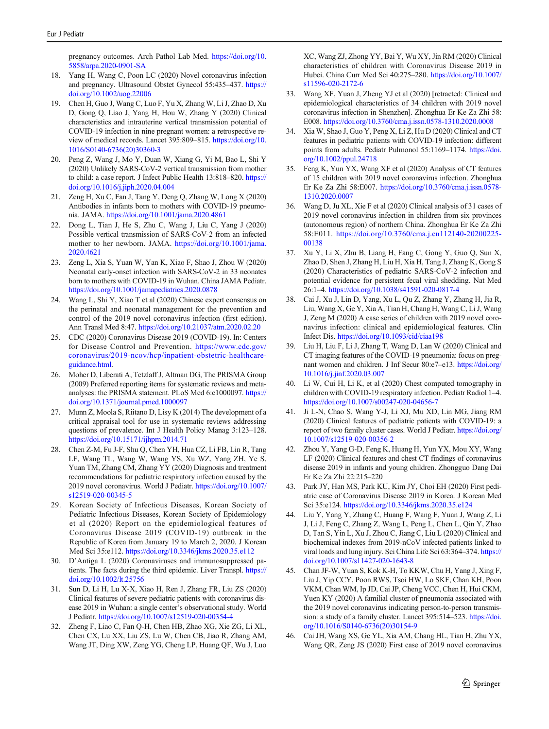<span id="page-14-0"></span>pregnancy outcomes. Arch Pathol Lab Med. [https://doi.org/10.](https://doi.org/10.5858/arpa.2020-0901-SA) [5858/arpa.2020-0901-SA](https://doi.org/10.5858/arpa.2020-0901-SA)

- 18. Yang H, Wang C, Poon LC (2020) Novel coronavirus infection and pregnancy. Ultrasound Obstet Gynecol 55:435–437. [https://](https://doi.org/10.1002/uog.22006) [doi.org/10.1002/uog.22006](https://doi.org/10.1002/uog.22006)
- 19. Chen H, Guo J, Wang C, Luo F, Yu X, Zhang W, Li J, Zhao D, Xu D, Gong Q, Liao J, Yang H, Hou W, Zhang Y (2020) Clinical characteristics and intrauterine vertical transmission potential of COVID-19 infection in nine pregnant women: a retrospective review of medical records. Lancet 395:809–815. [https://doi.org/10.](https://doi.org/10.1016/S0140-6736(20)30360-3) [1016/S0140-6736\(20\)30360-3](https://doi.org/10.1016/S0140-6736(20)30360-3)
- 20. Peng Z, Wang J, Mo Y, Duan W, Xiang G, Yi M, Bao L, Shi Y (2020) Unlikely SARS-CoV-2 vertical transmission from mother to child: a case report. J Infect Public Health 13:818–820. [https://](https://doi.org/10.1016/j.jiph.2020.04.004) [doi.org/10.1016/j.jiph.2020.04.004](https://doi.org/10.1016/j.jiph.2020.04.004)
- 21. Zeng H, Xu C, Fan J, Tang Y, Deng Q, Zhang W, Long X (2020) Antibodies in infants born to mothers with COVID-19 pneumonia. JAMA. <https://doi.org/10.1001/jama.2020.4861>
- 22. Dong L, Tian J, He S, Zhu C, Wang J, Liu C, Yang J (2020) Possible vertical transmission of SARS-CoV-2 from an infected mother to her newborn. JAMA. [https://doi.org/10.1001/jama.](https://doi.org/10.1001/jama.2020.4621) [2020.4621](https://doi.org/10.1001/jama.2020.4621)
- 23. Zeng L, Xia S, Yuan W, Yan K, Xiao F, Shao J, Zhou W (2020) Neonatal early-onset infection with SARS-CoV-2 in 33 neonates born to mothers with COVID-19 in Wuhan. China JAMA Pediatr. <https://doi.org/10.1001/jamapediatrics.2020.0878>
- 24. Wang L, Shi Y, Xiao T et al (2020) Chinese expert consensus on the perinatal and neonatal management for the prevention and control of the 2019 novel coronavirus infection (first edition). Ann Transl Med 8:47. <https://doi.org/10.21037/atm.2020.02.20>
- 25. CDC (2020) Coronavirus Disease 2019 (COVID-19). In: Centers for Disease Control and Prevention. https://www.cdc.gov/ coronavirus/2019-ncov/hcp/inpatient-obstetric-healthcareguidance.html.
- 26. Moher D, Liberati A, Tetzlaff J, Altman DG, The PRISMA Group (2009) Preferred reporting items for systematic reviews and metaanalyses: the PRISMA statement. PLoS Med 6:e1000097. [https://](https://doi.org/10.1371/journal.pmed.1000097) [doi.org/10.1371/journal.pmed.1000097](https://doi.org/10.1371/journal.pmed.1000097)
- 27. Munn Z, Moola S, Riitano D, Lisy K (2014) The development of a critical appraisal tool for use in systematic reviews addressing questions of prevalence. Int J Health Policy Manag 3:123–128. <https://doi.org/10.15171/ijhpm.2014.71>
- 28. Chen Z-M, Fu J-F, Shu Q, Chen YH, Hua CZ, Li FB, Lin R, Tang LF, Wang TL, Wang W, Wang YS, Xu WZ, Yang ZH, Ye S, Yuan TM, Zhang CM, Zhang YY (2020) Diagnosis and treatment recommendations for pediatric respiratory infection caused by the 2019 novel coronavirus. World J Pediatr. [https://doi.org/10.1007/](https://doi.org/10.1007/s12519-020-00345-5) [s12519-020-00345-5](https://doi.org/10.1007/s12519-020-00345-5)
- 29. Korean Society of Infectious Diseases, Korean Society of Pediatric Infectious Diseases, Korean Society of Epidemiology et al (2020) Report on the epidemiological features of Coronavirus Disease 2019 (COVID-19) outbreak in the Republic of Korea from January 19 to March 2, 2020. J Korean Med Sci 35:e112. <https://doi.org/10.3346/jkms.2020.35.e112>
- 30. D'Antiga L (2020) Coronaviruses and immunosuppressed patients. The facts during the third epidemic. Liver Transpl. [https://](https://doi.org/10.1002/lt.25756) [doi.org/10.1002/lt.25756](https://doi.org/10.1002/lt.25756)
- 31. Sun D, Li H, Lu X-X, Xiao H, Ren J, Zhang FR, Liu ZS (2020) Clinical features of severe pediatric patients with coronavirus disease 2019 in Wuhan: a single center's observational study. World J Pediatr. <https://doi.org/10.1007/s12519-020-00354-4>
- 32. Zheng F, Liao C, Fan Q-H, Chen HB, Zhao XG, Xie ZG, Li XL, Chen CX, Lu XX, Liu ZS, Lu W, Chen CB, Jiao R, Zhang AM, Wang JT, Ding XW, Zeng YG, Cheng LP, Huang QF, Wu J, Luo

XC, Wang ZJ, Zhong YY, Bai Y, Wu XY, Jin RM (2020) Clinical characteristics of children with Coronavirus Disease 2019 in Hubei. China Curr Med Sci 40:275–280. [https://doi.org/10.1007/](https://doi.org/10.1007/s11596-020-2172-6) [s11596-020-2172-6](https://doi.org/10.1007/s11596-020-2172-6)

- 33. Wang XF, Yuan J, Zheng YJ et al (2020) [retracted: Clinical and epidemiological characteristics of 34 children with 2019 novel coronavirus infection in Shenzhen]. Zhonghua Er Ke Za Zhi 58: E008. <https://doi.org/10.3760/cma.j.issn.0578-1310.2020.0008>
- 34. Xia W, Shao J, Guo Y, Peng X, Li Z, Hu D (2020) Clinical and CT features in pediatric patients with COVID-19 infection: different points from adults. Pediatr Pulmonol 55:1169–1174. [https://doi.](https://doi.org/10.1002/ppul.24718) [org/10.1002/ppul.24718](https://doi.org/10.1002/ppul.24718)
- 35. Feng K, Yun YX, Wang XF et al (2020) Analysis of CT features of 15 children with 2019 novel coronavirus infection. Zhonghua Er Ke Za Zhi 58:E007. [https://doi.org/10.3760/cma.j.issn.0578-](https://doi.org/10.3760/cma.j.issn.0578-1310.2020.0007) [1310.2020.0007](https://doi.org/10.3760/cma.j.issn.0578-1310.2020.0007)
- 36. Wang D, Ju XL, Xie F et al (2020) Clinical analysis of 31 cases of 2019 novel coronavirus infection in children from six provinces (autonomous region) of northern China. Zhonghua Er Ke Za Zhi 58:E011. [https://doi.org/10.3760/cma.j.cn112140-20200225-](https://doi.org/10.3760/cma.j.cn112140-20200225-00138) [00138](https://doi.org/10.3760/cma.j.cn112140-20200225-00138)
- 37. Xu Y, Li X, Zhu B, Liang H, Fang C, Gong Y, Guo Q, Sun X, Zhao D, Shen J, Zhang H, Liu H, Xia H, Tang J, Zhang K, Gong S (2020) Characteristics of pediatric SARS-CoV-2 infection and potential evidence for persistent fecal viral shedding. Nat Med 26:1–4. <https://doi.org/10.1038/s41591-020-0817-4>
- 38. Cai J, Xu J, Lin D, Yang, Xu L, Qu Z, Zhang Y, Zhang H, Jia R, Liu, Wang X, Ge Y, Xia A, Tian H, Chang H, Wang C, Li J, Wang J, Zeng M (2020) A case series of children with 2019 novel coronavirus infection: clinical and epidemiological features. Clin Infect Dis. <https://doi.org/10.1093/cid/ciaa198>
- 39. Liu H, Liu F, Li J, Zhang T, Wang D, Lan W (2020) Clinical and CT imaging features of the COVID-19 pneumonia: focus on pregnant women and children. J Inf Secur 80:e7–e13. [https://doi.org/](https://doi.org/10.1016/j.jinf.2020.03.007) [10.1016/j.jinf.2020.03.007](https://doi.org/10.1016/j.jinf.2020.03.007)
- 40. Li W, Cui H, Li K, et al (2020) Chest computed tomography in children with COVID-19 respiratory infection. Pediatr Radiol 1–4. <https://doi.org/10.1007/s00247-020-04656-7>
- 41. Ji L-N, Chao S, Wang Y-J, Li XJ, Mu XD, Lin MG, Jiang RM (2020) Clinical features of pediatric patients with COVID-19: a report of two family cluster cases. World J Pediatr. [https://doi.org/](https://doi.org/10.1007/s12519-020-00356-2) [10.1007/s12519-020-00356-2](https://doi.org/10.1007/s12519-020-00356-2)
- 42. Zhou Y, Yang G-D, Feng K, Huang H, Yun YX, Mou XY, Wang LF (2020) Clinical features and chest CT findings of coronavirus disease 2019 in infants and young children. Zhongguo Dang Dai Er Ke Za Zhi 22:215–220
- 43. Park JY, Han MS, Park KU, Kim JY, Choi EH (2020) First pediatric case of Coronavirus Disease 2019 in Korea. J Korean Med Sci 35:e124. <https://doi.org/10.3346/jkms.2020.35.e124>
- 44. Liu Y, Yang Y, Zhang C, Huang F, Wang F, Yuan J, Wang Z, Li J, Li J, Feng C, Zhang Z, Wang L, Peng L, Chen L, Qin Y, Zhao D, Tan S, Yin L, Xu J, Zhou C, Jiang C, Liu L (2020) Clinical and biochemical indexes from 2019-nCoV infected patients linked to viral loads and lung injury. Sci China Life Sci 63:364–374. [https://](https://doi.org/10.1007/s11427-020-1643-8) [doi.org/10.1007/s11427-020-1643-8](https://doi.org/10.1007/s11427-020-1643-8)
- 45. Chan JF-W, Yuan S, Kok K-H, To KKW, Chu H, Yang J, Xing F, Liu J, Yip CCY, Poon RWS, Tsoi HW, Lo SKF, Chan KH, Poon VKM, Chan WM, Ip JD, Cai JP, Cheng VCC, Chen H, Hui CKM, Yuen KY (2020) A familial cluster of pneumonia associated with the 2019 novel coronavirus indicating person-to-person transmission: a study of a family cluster. Lancet 395:514–523. [https://doi.](https://doi.org/10.1016/S0140-6736(20)30154-9) [org/10.1016/S0140-6736\(20\)30154-9](https://doi.org/10.1016/S0140-6736(20)30154-9)
- 46. Cai JH, Wang XS, Ge YL, Xia AM, Chang HL, Tian H, Zhu YX, Wang QR, Zeng JS (2020) First case of 2019 novel coronavirus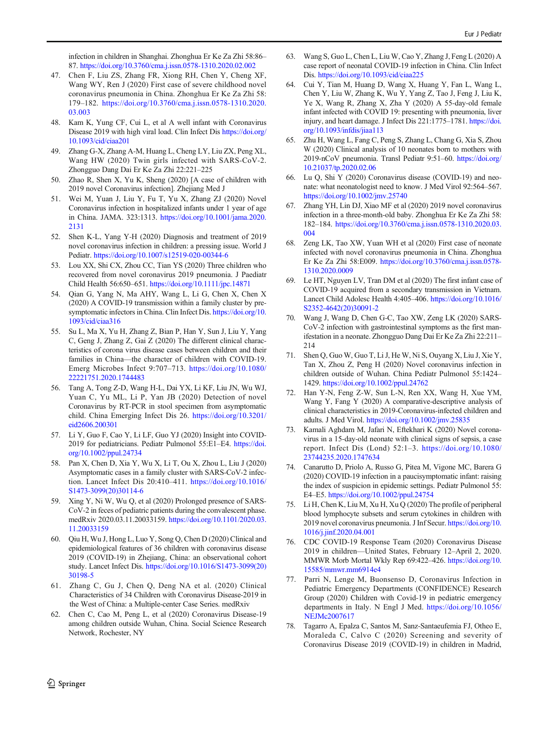<span id="page-15-0"></span>infection in children in Shanghai. Zhonghua Er Ke Za Zhi 58:86– 87. <https://doi.org/10.3760/cma.j.issn.0578-1310.2020.02.002>

- 47. Chen F, Liu ZS, Zhang FR, Xiong RH, Chen Y, Cheng XF, Wang WY, Ren J (2020) First case of severe childhood novel coronavirus pneumonia in China. Zhonghua Er Ke Za Zhi 58: 179–182. [https://doi.org/10.3760/cma.j.issn.0578-1310.2020.](https://doi.org/10.3760/cma.j.issn.0578-1310.2020.03.003) [03.003](https://doi.org/10.3760/cma.j.issn.0578-1310.2020.03.003)
- 48. Kam K, Yung CF, Cui L, et al A well infant with Coronavirus Disease 2019 with high viral load. Clin Infect Dis [https://doi.org/](https://doi.org/10.1093/cid/ciaa201) [10.1093/cid/ciaa201](https://doi.org/10.1093/cid/ciaa201)
- 49. Zhang G-X, Zhang A-M, Huang L, Cheng LY, Liu ZX, Peng XL, Wang HW (2020) Twin girls infected with SARS-CoV-2. Zhongguo Dang Dai Er Ke Za Zhi 22:221–225
- 50. Zhao R, Shen X, Yu K, Sheng (2020) [A case of children with 2019 novel Coronavirus infection]. Zhejiang Med J
- 51. Wei M, Yuan J, Liu Y, Fu T, Yu X, Zhang ZJ (2020) Novel Coronavirus infection in hospitalized infants under 1 year of age in China. JAMA. 323:1313. [https://doi.org/10.1001/jama.2020.](https://doi.org/10.1001/jama.2020.2131) [2131](https://doi.org/10.1001/jama.2020.2131)
- 52. Shen K-L, Yang Y-H (2020) Diagnosis and treatment of 2019 novel coronavirus infection in children: a pressing issue. World J Pediatr. <https://doi.org/10.1007/s12519-020-00344-6>
- 53. Lou XX, Shi CX, Zhou CC, Tian YS (2020) Three children who recovered from novel coronavirus 2019 pneumonia. J Paediatr Child Health 56:650–651. <https://doi.org/10.1111/jpc.14871>
- 54. Qian G, Yang N, Ma AHY, Wang L, Li G, Chen X, Chen X (2020) A COVID-19 transmission within a family cluster by presymptomatic infectors in China. Clin Infect Dis. [https://doi.org/10.](https://doi.org/10.1093/cid/ciaa316) [1093/cid/ciaa316](https://doi.org/10.1093/cid/ciaa316)
- 55. Su L, Ma X, Yu H, Zhang Z, Bian P, Han Y, Sun J, Liu Y, Yang C, Geng J, Zhang Z, Gai Z (2020) The different clinical characteristics of corona virus disease cases between children and their families in China—the character of children with COVID-19. Emerg Microbes Infect 9:707–713. [https://doi.org/10.1080/](https://doi.org/10.1080/22221751.2020.1744483) [22221751.2020.1744483](https://doi.org/10.1080/22221751.2020.1744483)
- 56. Tang A, Tong Z-D, Wang H-L, Dai YX, Li KF, Liu JN, Wu WJ, Yuan C, Yu ML, Li P, Yan JB (2020) Detection of novel Coronavirus by RT-PCR in stool specimen from asymptomatic child. China Emerging Infect Dis 26. [https://doi.org/10.3201/](https://doi.org/10.3201/eid2606.200301) [eid2606.200301](https://doi.org/10.3201/eid2606.200301)
- 57. Li Y, Guo F, Cao Y, Li LF, Guo YJ (2020) Insight into COVID-2019 for pediatricians. Pediatr Pulmonol 55:E1–E4. [https://doi.](https://doi.org/10.1002/ppul.24734) [org/10.1002/ppul.24734](https://doi.org/10.1002/ppul.24734)
- 58. Pan X, Chen D, Xia Y, Wu X, Li T, Ou X, Zhou L, Liu J (2020) Asymptomatic cases in a family cluster with SARS-CoV-2 infection. Lancet Infect Dis 20:410–411. [https://doi.org/10.1016/](https://doi.org/10.1016/S1473-3099(20)30114-6) [S1473-3099\(20\)30114-6](https://doi.org/10.1016/S1473-3099(20)30114-6)
- 59. Xing Y, Ni W, Wu Q, et al (2020) Prolonged presence of SARS-CoV-2 in feces of pediatric patients during the convalescent phase. medRxiv 2020.03.11.20033159. [https://doi.org/10.1101/2020.03.](https://doi.org/10.1101/2020.03.11.20033159) [11.20033159](https://doi.org/10.1101/2020.03.11.20033159)
- 60. Qiu H, Wu J, Hong L, Luo Y, Song Q, Chen D (2020) Clinical and epidemiological features of 36 children with coronavirus disease 2019 (COVID-19) in Zhejiang, China: an observational cohort study. Lancet Infect Dis. [https://doi.org/10.1016/S1473-3099\(20\)](https://doi.org/10.1016/S1473-3099(20)30198-5) [30198-5](https://doi.org/10.1016/S1473-3099(20)30198-5)
- 61. Zhang C, Gu J, Chen Q, Deng NA et al. (2020) Clinical Characteristics of 34 Children with Coronavirus Disease-2019 in the West of China: a Multiple-center Case Series. medRxiv
- 62. Chen C, Cao M, Peng L, et al (2020) Coronavirus Disease-19 among children outside Wuhan, China. Social Science Research Network, Rochester, NY
- 63. Wang S, Guo L, Chen L, Liu W, Cao Y, Zhang J, Feng L (2020) A case report of neonatal COVID-19 infection in China. Clin Infect Dis. <https://doi.org/10.1093/cid/ciaa225>
- 64. Cui Y, Tian M, Huang D, Wang X, Huang Y, Fan L, Wang L, Chen Y, Liu W, Zhang K, Wu Y, Yang Z, Tao J, Feng J, Liu K, Ye X, Wang R, Zhang X, Zha Y (2020) A 55-day-old female infant infected with COVID 19: presenting with pneumonia, liver injury, and heart damage. J Infect Dis 221:1775–1781. [https://doi.](https://doi.org/10.1093/infdis/jiaa113) [org/10.1093/infdis/jiaa113](https://doi.org/10.1093/infdis/jiaa113)
- 65. Zhu H, Wang L, Fang C, Peng S, Zhang L, Chang G, Xia S, Zhou W (2020) Clinical analysis of 10 neonates born to mothers with 2019-nCoV pneumonia. Transl Pediatr 9:51–60. [https://doi.org/](https://doi.org/10.21037/tp.2020.02.06) [10.21037/tp.2020.02.06](https://doi.org/10.21037/tp.2020.02.06)
- 66. Lu Q, Shi Y (2020) Coronavirus disease (COVID-19) and neonate: what neonatologist need to know. J Med Virol 92:564–567. <https://doi.org/10.1002/jmv.25740>
- 67. Zhang YH, Lin DJ, Xiao MF et al (2020) 2019 novel coronavirus infection in a three-month-old baby. Zhonghua Er Ke Za Zhi 58: 182–184. [https://doi.org/10.3760/cma.j.issn.0578-1310.2020.03.](https://doi.org/10.3760/cma.j.issn.0578-1310.2020.03.004) [004](https://doi.org/10.3760/cma.j.issn.0578-1310.2020.03.004)
- 68. Zeng LK, Tao XW, Yuan WH et al (2020) First case of neonate infected with novel coronavirus pneumonia in China. Zhonghua Er Ke Za Zhi 58:E009. [https://doi.org/10.3760/cma.j.issn.0578-](https://doi.org/10.3760/cma.j.issn.0578-1310.2020.0009) [1310.2020.0009](https://doi.org/10.3760/cma.j.issn.0578-1310.2020.0009)
- 69. Le HT, Nguyen LV, Tran DM et al (2020) The first infant case of COVID-19 acquired from a secondary transmission in Vietnam. Lancet Child Adolesc Health 4:405–406. [https://doi.org/10.1016/](https://doi.org/10.1016/S2352-4642(20)30091-2) [S2352-4642\(20\)30091-2](https://doi.org/10.1016/S2352-4642(20)30091-2)
- 70. Wang J, Wang D, Chen G-C, Tao XW, Zeng LK (2020) SARS-CoV-2 infection with gastrointestinal symptoms as the first manifestation in a neonate. Zhongguo Dang Dai Er Ke Za Zhi 22:211– 214
- 71. Shen Q, Guo W, Guo T, Li J, He W, Ni S, Ouyang X, Liu J, Xie Y, Tan X, Zhou Z, Peng H (2020) Novel coronavirus infection in children outside of Wuhan. China Pediatr Pulmonol 55:1424– 1429. <https://doi.org/10.1002/ppul.24762>
- 72. Han Y-N, Feng Z-W, Sun L-N, Ren XX, Wang H, Xue YM, Wang Y, Fang Y (2020) A comparative-descriptive analysis of clinical characteristics in 2019-Coronavirus-infected children and adults. J Med Virol. <https://doi.org/10.1002/jmv.25835>
- 73. Kamali Aghdam M, Jafari N, Eftekhari K (2020) Novel coronavirus in a 15-day-old neonate with clinical signs of sepsis, a case report. Infect Dis (Lond) 52:1–3. [https://doi.org/10.1080/](https://doi.org/10.1080/23744235.2020.1747634) [23744235.2020.1747634](https://doi.org/10.1080/23744235.2020.1747634)
- 74. Canarutto D, Priolo A, Russo G, Pitea M, Vigone MC, Barera G (2020) COVID-19 infection in a paucisymptomatic infant: raising the index of suspicion in epidemic settings. Pediatr Pulmonol 55: E4–E5. <https://doi.org/10.1002/ppul.24754>
- 75. Li H, Chen K, Liu M, Xu H, Xu Q (2020) The profile of peripheral blood lymphocyte subsets and serum cytokines in children with 2019 novel coronavirus pneumonia. J Inf Secur. [https://doi.org/10.](https://doi.org/10.1016/j.jinf.2020.04.001) [1016/j.jinf.2020.04.001](https://doi.org/10.1016/j.jinf.2020.04.001)
- 76. CDC COVID-19 Response Team (2020) Coronavirus Disease 2019 in children—United States, February 12–April 2, 2020. MMWR Morb Mortal Wkly Rep 69:422–426. [https://doi.org/10.](https://doi.org/10.15585/mmwr.mm6914e4) [15585/mmwr.mm6914e4](https://doi.org/10.15585/mmwr.mm6914e4)
- 77. Parri N, Lenge M, Buonsenso D, Coronavirus Infection in Pediatric Emergency Departments (CONFIDENCE) Research Group (2020) Children with Covid-19 in pediatric emergency departments in Italy. N Engl J Med. [https://doi.org/10.1056/](https://doi.org/10.1056/NEJMc2007617) [NEJMc2007617](https://doi.org/10.1056/NEJMc2007617)
- 78. Tagarro A, Epalza C, Santos M, Sanz-Santaeufemia FJ, Otheo E, Moraleda C, Calvo C (2020) Screening and severity of Coronavirus Disease 2019 (COVID-19) in children in Madrid,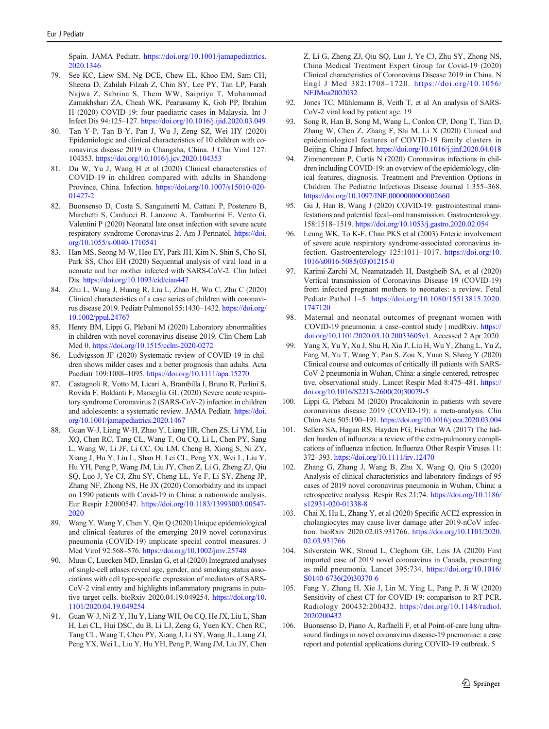<span id="page-16-0"></span>Spain. JAMA Pediatr. [https://doi.org/10.1001/jamapediatrics.](https://doi.org/10.1001/jamapediatrics.2020.1346) [2020.1346](https://doi.org/10.1001/jamapediatrics.2020.1346)

- 79. See KC, Liew SM, Ng DCE, Chew EL, Khoo EM, Sam CH, Sheena D, Zahilah Filzah Z, Chin SY, Lee PY, Tan LP, Farah Najwa Z, Sabrina S, Them WW, Saipriya T, Muhammad Zamakhshari ZA, Cheah WK, Peariasamy K, Goh PP, Ibrahim H (2020) COVID-19: four paediatric cases in Malaysia. Int J Infect Dis 94:125–127. <https://doi.org/10.1016/j.ijid.2020.03.049>
- 80. Tan Y-P, Tan B-Y, Pan J, Wu J, Zeng SZ, Wei HY (2020) Epidemiologic and clinical characteristics of 10 children with coronavirus disease 2019 in Changsha, China. J Clin Virol 127: 104353. <https://doi.org/10.1016/j.jcv.2020.104353>
- 81. Du W, Yu J, Wang H et al (2020) Clinical characteristics of COVID-19 in children compared with adults in Shandong Province, China. Infection. [https://doi.org/10.1007/s15010-020-](https://doi.org/10.1007/s15010-020-01427-2) [01427-2](https://doi.org/10.1007/s15010-020-01427-2)
- 82. Buonsenso D, Costa S, Sanguinetti M, Cattani P, Posteraro B, Marchetti S, Carducci B, Lanzone A, Tamburrini E, Vento G, Valentini P (2020) Neonatal late onset infection with severe acute respiratory syndrome Coronavirus 2. Am J Perinatol. [https://doi.](https://doi.org/10.1055/s-0040-1710541) [org/10.1055/s-0040-1710541](https://doi.org/10.1055/s-0040-1710541)
- 83. Han MS, Seong M-W, Heo EY, Park JH, Kim N, Shin S, Cho SI, Park SS, Choi EH (2020) Sequential analysis of viral load in a neonate and her mother infected with SARS-CoV-2. Clin Infect Dis. <https://doi.org/10.1093/cid/ciaa447>
- 84. Zhu L, Wang J, Huang R, Liu L, Zhao H, Wu C, Zhu C (2020) Clinical characteristics of a case series of children with coronavirus disease 2019. Pediatr Pulmonol 55:1430–1432. [https://doi.org/](https://doi.org/10.1002/ppul.24767) [10.1002/ppul.24767](https://doi.org/10.1002/ppul.24767)
- 85. Henry BM, Lippi G, Plebani M (2020) Laboratory abnormalities in children with novel coronavirus disease 2019. Clin Chem Lab Med 0. <https://doi.org/10.1515/cclm-2020-0272>
- 86. Ludvigsson JF (2020) Systematic review of COVID-19 in children shows milder cases and a better prognosis than adults. Acta Paediatr 109:1088–1095. <https://doi.org/10.1111/apa.15270>
- 87. Castagnoli R, Votto M, Licari A, Brambilla I, Bruno R, Perlini S, Rovida F, Baldanti F, Marseglia GL (2020) Severe acute respiratory syndrome Coronavirus 2 (SARS-CoV-2) infection in children and adolescents: a systematic review. JAMA Pediatr. [https://doi.](https://doi.org/10.1001/jamapediatrics.2020.1467) [org/10.1001/jamapediatrics.2020.1467](https://doi.org/10.1001/jamapediatrics.2020.1467)
- 88. Guan W-J, Liang W-H, Zhao Y, Liang HR, Chen ZS, Li YM, Liu XQ, Chen RC, Tang CL, Wang T, Ou CQ, Li L, Chen PY, Sang L, Wang W, Li JF, Li CC, Ou LM, Cheng B, Xiong S, Ni ZY, Xiang J, Hu Y, Liu L, Shan H, Lei CL, Peng YX, Wei L, Liu Y, Hu YH, Peng P, Wang JM, Liu JY, Chen Z, Li G, Zheng ZJ, Qiu SQ, Luo J, Ye CJ, Zhu SY, Cheng LL, Ye F, Li SY, Zheng JP, Zhang NF, Zhong NS, He JX (2020) Comorbidity and its impact on 1590 patients with Covid-19 in China: a nationwide analysis. Eur Respir J:2000547. [https://doi.org/10.1183/13993003.00547-](https://doi.org/10.1183/13993003.00547-2020) [2020](https://doi.org/10.1183/13993003.00547-2020)
- 89. Wang Y, Wang Y, Chen Y, Qin Q (2020) Unique epidemiological and clinical features of the emerging 2019 novel coronavirus pneumonia (COVID-19) implicate special control measures. J Med Virol 92:568–576. <https://doi.org/10.1002/jmv.25748>
- 90. Muus C, Luecken MD, Eraslan G, et al (2020) Integrated analyses of single-cell atlases reveal age, gender, and smoking status associations with cell type-specific expression of mediators of SARS-CoV-2 viral entry and highlights inflammatory programs in putative target cells. bioRxiv 2020.04.19.049254. [https://doi.org/10.](https://doi.org/10.1101/2020.04.19.049254) [1101/2020.04.19.049254](https://doi.org/10.1101/2020.04.19.049254)
- 91. Guan W-J, Ni Z-Y, Hu Y, Liang WH, Ou CQ, He JX, Liu L, Shan H, Lei CL, Hui DSC, du B, Li LJ, Zeng G, Yuen KY, Chen RC, Tang CL, Wang T, Chen PY, Xiang J, Li SY, Wang JL, Liang ZJ, Peng YX, Wei L, Liu Y, Hu YH, Peng P, Wang JM, Liu JY, Chen

Z, Li G, Zheng ZJ, Qiu SQ, Luo J, Ye CJ, Zhu SY, Zhong NS, China Medical Treatment Expert Group for Covid-19 (2020) Clinical characteristics of Coronavirus Disease 2019 in China. N Engl J Med 382:1708–1720. [https://doi.org/10.1056/](https://doi.org/10.1056/NEJMoa2002032) [NEJMoa2002032](https://doi.org/10.1056/NEJMoa2002032)

- 92. Jones TC, Mühlemann B, Veith T, et al An analysis of SARS-CoV-2 viral load by patient age. 19
- 93. Song R, Han B, Song M, Wang L, Conlon CP, Dong T, Tian D, Zhang W, Chen Z, Zhang F, Shi M, Li X (2020) Clinical and epidemiological features of COVID-19 family clusters in Beijing. China J Infect. <https://doi.org/10.1016/j.jinf.2020.04.018>
- 94. Zimmermann P, Curtis N (2020) Coronavirus infections in children including COVID-19: an overview of the epidemiology, clinical features, diagnosis. Treatment and Prevention Options in Children The Pediatric Infectious Disease Journal 1:355–368. <https://doi.org/10.1097/INF.0000000000002660>
- 95. Gu J, Han B, Wang J (2020) COVID-19: gastrointestinal manifestations and potential fecal–oral transmission. Gastroenterology. 158:1518–1519. <https://doi.org/10.1053/j.gastro.2020.02.054>
- 96. Leung WK, To K-F, Chan PKS et al (2003) Enteric involvement of severe acute respiratory syndrome-associated coronavirus infection. Gastroenterology 125:1011–1017. [https://doi.org/10.](https://doi.org/10.1016/s0016-5085(03)01215-0) [1016/s0016-5085\(03\)01215-0](https://doi.org/10.1016/s0016-5085(03)01215-0)
- 97. Karimi-Zarchi M, Neamatzadeh H, Dastgheib SA, et al (2020) Vertical transmission of Coronavirus Disease 19 (COVID-19) from infected pregnant mothers to neonates: a review. Fetal Pediatr Pathol 1–5. [https://doi.org/10.1080/15513815.2020.](https://doi.org/10.1080/15513815.2020.1747120) [1747120](https://doi.org/10.1080/15513815.2020.1747120)
- 98. Maternal and neonatal outcomes of pregnant women with COVID-19 pneumonia: a case–control study | medRxiv. [https://](https://doi.org/10.1101/2020.03.10.20033605v1) [doi.org/10.1101/2020.03.10.20033605v1.](https://doi.org/10.1101/2020.03.10.20033605v1) Accessed 2 Apr 2020
- 99. Yang X, Yu Y, Xu J, Shu H, Xia J', Liu H, Wu Y, Zhang L, Yu Z, Fang M, Yu T, Wang Y, Pan S, Zou X, Yuan S, Shang Y (2020) Clinical course and outcomes of critically ill patients with SARS-CoV-2 pneumonia in Wuhan, China: a single-centered, retrospective, observational study. Lancet Respir Med 8:475–481. [https://](https://doi.org/10.1016/S2213-2600(20)30079-5) [doi.org/10.1016/S2213-2600\(20\)30079-5](https://doi.org/10.1016/S2213-2600(20)30079-5)
- 100. Lippi G, Plebani M (2020) Procalcitonin in patients with severe coronavirus disease 2019 (COVID-19): a meta-analysis. Clin Chim Acta 505:190–191. <https://doi.org/10.1016/j.cca.2020.03.004>
- 101. Sellers SA, Hagan RS, Hayden FG, Fischer WA (2017) The hidden burden of influenza: a review of the extra-pulmonary complications of influenza infection. Influenza Other Respir Viruses 11: 372–393. <https://doi.org/10.1111/irv.12470>
- 102. Zhang G, Zhang J, Wang B, Zhu X, Wang Q, Qiu S (2020) Analysis of clinical characteristics and laboratory findings of 95 cases of 2019 novel coronavirus pneumonia in Wuhan, China: a retrospective analysis. Respir Res 21:74. [https://doi.org/10.1186/](https://doi.org/10.1186/s12931-020-01338-8) [s12931-020-01338-8](https://doi.org/10.1186/s12931-020-01338-8)
- 103. Chai X, Hu L, Zhang Y, et al (2020) Specific ACE2 expression in cholangiocytes may cause liver damage after 2019-nCoV infection. bioRxiv 2020.02.03.931766. [https://doi.org/10.1101/2020.](https://doi.org/10.1101/2020.02.03.931766) [02.03.931766](https://doi.org/10.1101/2020.02.03.931766)
- 104. Silverstein WK, Stroud L, Cleghorn GE, Leis JA (2020) First imported case of 2019 novel coronavirus in Canada, presenting as mild pneumonia. Lancet 395:734. [https://doi.org/10.1016/](https://doi.org/10.1016/S0140-6736(20)30370-6) [S0140-6736\(20\)30370-6](https://doi.org/10.1016/S0140-6736(20)30370-6)
- 105. Fang Y, Zhang H, Xie J, Lin M, Ying L, Pang P, Ji W (2020) Sensitivity of chest CT for COVID-19: comparison to RT-PCR. Radiology 200432:200432. [https://doi.org/10.1148/radiol.](https://doi.org/10.1148/radiol.2020200432) [2020200432](https://doi.org/10.1148/radiol.2020200432)
- 106. Buonsenso D, Piano A, Raffaelli F, et al Point-of-care lung ultrasound findings in novel coronavirus disease-19 pnemoniae: a case report and potential applications during COVID-19 outbreak. 5